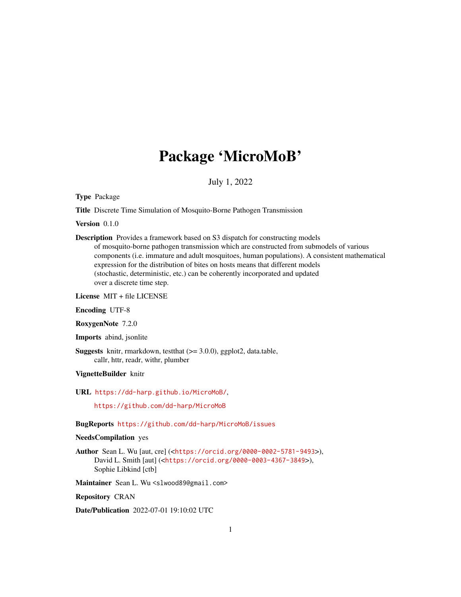# Package 'MicroMoB'

July 1, 2022

<span id="page-0-0"></span>Type Package

Title Discrete Time Simulation of Mosquito-Borne Pathogen Transmission

Version 0.1.0

Description Provides a framework based on S3 dispatch for constructing models of mosquito-borne pathogen transmission which are constructed from submodels of various components (i.e. immature and adult mosquitoes, human populations). A consistent mathematical expression for the distribution of bites on hosts means that different models (stochastic, deterministic, etc.) can be coherently incorporated and updated over a discrete time step.

License MIT + file LICENSE

Encoding UTF-8

RoxygenNote 7.2.0

Imports abind, jsonlite

**Suggests** knitr, rmarkdown, test that  $(>= 3.0.0)$ , ggplot2, data.table, callr, httr, readr, withr, plumber

VignetteBuilder knitr

URL <https://dd-harp.github.io/MicroMoB/>,

<https://github.com/dd-harp/MicroMoB>

BugReports <https://github.com/dd-harp/MicroMoB/issues>

#### NeedsCompilation yes

Author Sean L. Wu [aut, cre] (<<https://orcid.org/0000-0002-5781-9493>>), David L. Smith [aut] (<<https://orcid.org/0000-0003-4367-3849>>), Sophie Libkind [ctb]

Maintainer Sean L. Wu <slwood89@gmail.com>

Repository CRAN

Date/Publication 2022-07-01 19:10:02 UTC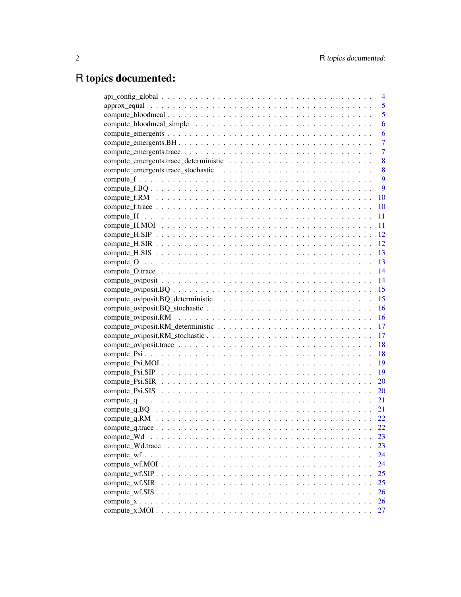# R topics documented:

|                                                                                                            | 4  |
|------------------------------------------------------------------------------------------------------------|----|
|                                                                                                            | 5  |
|                                                                                                            | 5  |
|                                                                                                            | 6  |
|                                                                                                            | 6  |
|                                                                                                            | 7  |
|                                                                                                            | 7  |
|                                                                                                            | 8  |
|                                                                                                            | 8  |
|                                                                                                            | 9  |
|                                                                                                            | 9  |
|                                                                                                            | 10 |
|                                                                                                            | 10 |
|                                                                                                            | 11 |
|                                                                                                            | 11 |
|                                                                                                            | 12 |
|                                                                                                            | 12 |
|                                                                                                            | 13 |
|                                                                                                            | 13 |
|                                                                                                            | 14 |
|                                                                                                            | 14 |
| $compute\_oviposit.BQ \ldots \ldots \ldots \ldots \ldots \ldots \ldots \ldots \ldots \ldots \ldots \ldots$ | 15 |
|                                                                                                            | 15 |
|                                                                                                            | 16 |
|                                                                                                            | 16 |
|                                                                                                            | 17 |
|                                                                                                            | 17 |
|                                                                                                            | 18 |
|                                                                                                            | 18 |
|                                                                                                            | 19 |
|                                                                                                            | 19 |
|                                                                                                            | 20 |
|                                                                                                            | 20 |
|                                                                                                            | 21 |
|                                                                                                            | 21 |
|                                                                                                            | 22 |
|                                                                                                            | 22 |
| compute Wd                                                                                                 | 23 |
| compute_Wd.trace                                                                                           | 23 |
|                                                                                                            | 24 |
|                                                                                                            | 24 |
|                                                                                                            | 25 |
| compute_wf.SIR                                                                                             | 25 |
|                                                                                                            | 26 |
|                                                                                                            | 26 |
|                                                                                                            | 27 |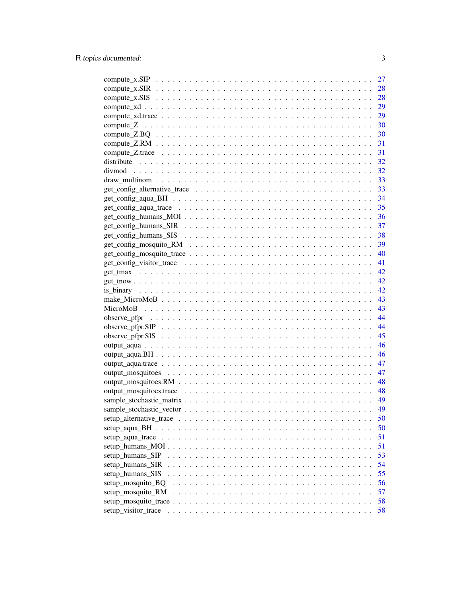|                                                                                                               | 27 |
|---------------------------------------------------------------------------------------------------------------|----|
|                                                                                                               | 28 |
|                                                                                                               | 28 |
|                                                                                                               | 29 |
|                                                                                                               | 29 |
|                                                                                                               | 30 |
|                                                                                                               | 30 |
|                                                                                                               | 31 |
|                                                                                                               | 31 |
|                                                                                                               | 32 |
|                                                                                                               | 32 |
|                                                                                                               | 33 |
|                                                                                                               |    |
|                                                                                                               |    |
|                                                                                                               |    |
|                                                                                                               |    |
|                                                                                                               |    |
|                                                                                                               |    |
|                                                                                                               |    |
|                                                                                                               | 40 |
|                                                                                                               |    |
|                                                                                                               |    |
|                                                                                                               | 42 |
|                                                                                                               | 42 |
|                                                                                                               | 43 |
|                                                                                                               | 43 |
|                                                                                                               | 44 |
|                                                                                                               | 44 |
|                                                                                                               | 45 |
|                                                                                                               | 46 |
|                                                                                                               | 46 |
|                                                                                                               | 47 |
|                                                                                                               | 47 |
|                                                                                                               | 48 |
|                                                                                                               |    |
|                                                                                                               | 49 |
|                                                                                                               | 49 |
|                                                                                                               | 50 |
|                                                                                                               | 50 |
| setup aqua trace $\ldots \ldots \ldots \ldots \ldots \ldots \ldots \ldots \ldots \ldots \ldots \ldots \ldots$ | 51 |
| $setup_humans_MOI \ldots \ldots \ldots \ldots \ldots \ldots \ldots \ldots \ldots \ldots \ldots \ldots$        | 51 |
| setup_humans_SIP                                                                                              | 53 |
| setup_humans_SIR                                                                                              | 54 |
| setup humans SIS                                                                                              | 55 |
| setup_mosquito_BQ                                                                                             | 56 |
| setup_mosquito_RM<br>$\ddot{\phantom{1}}$                                                                     | 57 |
|                                                                                                               | 58 |
| setup_visitor_trace                                                                                           | 58 |
|                                                                                                               |    |

 $\overline{3}$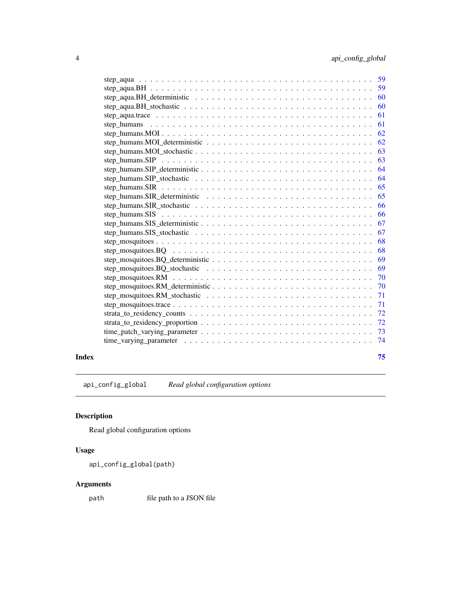<span id="page-3-0"></span>

| 59                                                                                                                     |
|------------------------------------------------------------------------------------------------------------------------|
|                                                                                                                        |
| 59                                                                                                                     |
| step_aqua.BH_deterministic $\ldots \ldots \ldots \ldots \ldots \ldots \ldots \ldots \ldots \ldots \ldots \ldots$<br>60 |
| 60                                                                                                                     |
| 61                                                                                                                     |
| 61                                                                                                                     |
| 62                                                                                                                     |
| 62                                                                                                                     |
| 63                                                                                                                     |
| 63                                                                                                                     |
| 64                                                                                                                     |
| step_humans.SIP_stochastic $\ldots \ldots \ldots \ldots \ldots \ldots \ldots \ldots \ldots \ldots \ldots \ldots$<br>64 |
| 65                                                                                                                     |
| 65                                                                                                                     |
| step_humans.SIR_stochastic $\ldots \ldots \ldots \ldots \ldots \ldots \ldots \ldots \ldots \ldots \ldots \ldots$<br>66 |
| 66                                                                                                                     |
| 67                                                                                                                     |
| 67                                                                                                                     |
| 68                                                                                                                     |
| 68                                                                                                                     |
| 69                                                                                                                     |
| 69                                                                                                                     |
| 70                                                                                                                     |
| 70                                                                                                                     |
| 71                                                                                                                     |
| 71                                                                                                                     |
| 72                                                                                                                     |
| 72                                                                                                                     |
| 73                                                                                                                     |
| 74                                                                                                                     |
|                                                                                                                        |

#### **Index** [75](#page-74-0)

api\_config\_global *Read global configuration options*

# Description

Read global configuration options

# Usage

```
api_config_global(path)
```
# Arguments

path file path to a JSON file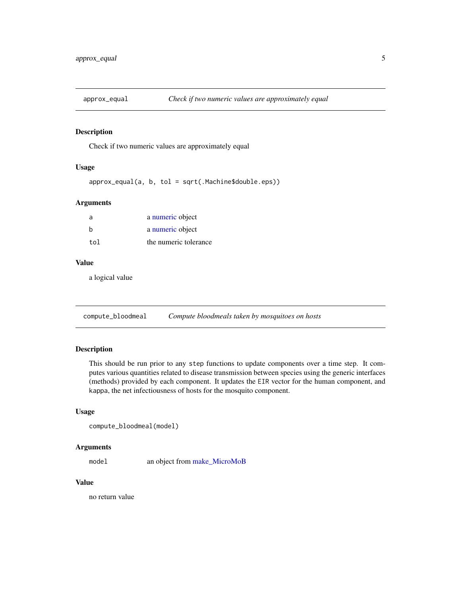<span id="page-4-0"></span>

Check if two numeric values are approximately equal

#### Usage

approx\_equal(a, b, tol = sqrt(.Machine\$double.eps))

## Arguments

| $\overline{a}$ | a numeric object      |
|----------------|-----------------------|
| h              | a numeric object      |
| tol            | the numeric tolerance |

### Value

a logical value

<span id="page-4-1"></span>compute\_bloodmeal *Compute bloodmeals taken by mosquitoes on hosts*

## Description

This should be run prior to any step functions to update components over a time step. It computes various quantities related to disease transmission between species using the generic interfaces (methods) provided by each component. It updates the EIR vector for the human component, and kappa, the net infectiousness of hosts for the mosquito component.

#### Usage

```
compute_bloodmeal(model)
```
# Arguments

mode1 an object from [make\\_MicroMoB](#page-42-1)

## Value

no return value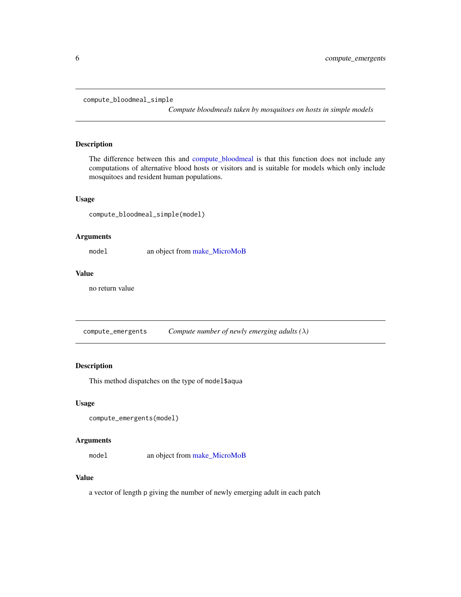```
compute_bloodmeal_simple
```
*Compute bloodmeals taken by mosquitoes on hosts in simple models*

# Description

The difference between this and [compute\\_bloodmeal](#page-4-1) is that this function does not include any computations of alternative blood hosts or visitors and is suitable for models which only include mosquitoes and resident human populations.

## Usage

compute\_bloodmeal\_simple(model)

## Arguments

model an object from [make\\_MicroMoB](#page-42-1)

# Value

no return value

compute\_emergents *Compute number of newly emerging adults (*λ*)*

# Description

This method dispatches on the type of model\$aqua

#### Usage

```
compute_emergents(model)
```
## Arguments

model an object from [make\\_MicroMoB](#page-42-1)

# Value

a vector of length p giving the number of newly emerging adult in each patch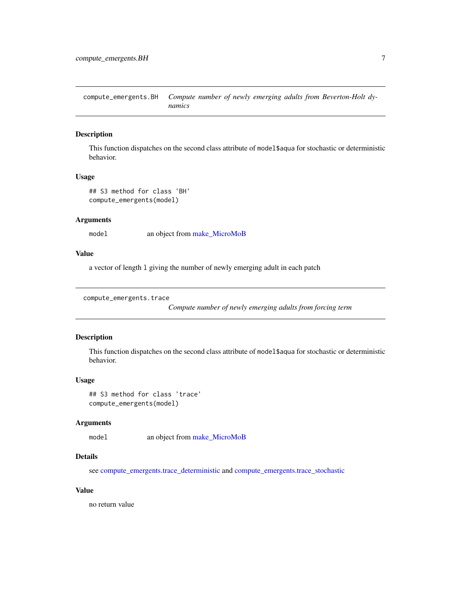<span id="page-6-0"></span>compute\_emergents.BH *Compute number of newly emerging adults from Beverton-Holt dynamics*

## Description

This function dispatches on the second class attribute of model\$aqua for stochastic or deterministic behavior.

## Usage

```
## S3 method for class 'BH'
compute_emergents(model)
```
# Arguments

model an object from [make\\_MicroMoB](#page-42-1)

# Value

a vector of length l giving the number of newly emerging adult in each patch

```
compute_emergents.trace
```
*Compute number of newly emerging adults from forcing term*

#### Description

This function dispatches on the second class attribute of model\$aqua for stochastic or deterministic behavior.

#### Usage

```
## S3 method for class 'trace'
compute_emergents(model)
```
## Arguments

model an object from [make\\_MicroMoB](#page-42-1)

# Details

see [compute\\_emergents.trace\\_deterministic](#page-7-1) and [compute\\_emergents.trace\\_stochastic](#page-7-2)

# Value

no return value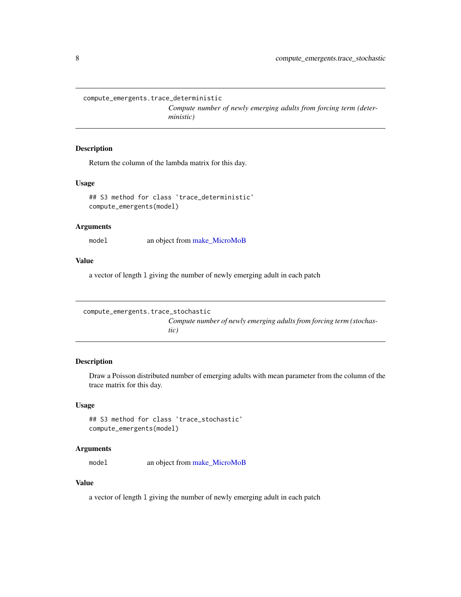<span id="page-7-1"></span><span id="page-7-0"></span>compute\_emergents.trace\_deterministic

*Compute number of newly emerging adults from forcing term (deterministic)*

## Description

Return the column of the lambda matrix for this day.

# Usage

```
## S3 method for class 'trace_deterministic'
compute_emergents(model)
```
## Arguments

model an object from [make\\_MicroMoB](#page-42-1)

## Value

a vector of length l giving the number of newly emerging adult in each patch

```
compute_emergents.trace_stochastic
                         Compute number of newly emerging adults from forcing term (stochas-
                         tic)
```
# Description

Draw a Poisson distributed number of emerging adults with mean parameter from the column of the trace matrix for this day.

## Usage

## S3 method for class 'trace\_stochastic' compute\_emergents(model)

## Arguments

model an object from [make\\_MicroMoB](#page-42-1)

# Value

a vector of length l giving the number of newly emerging adult in each patch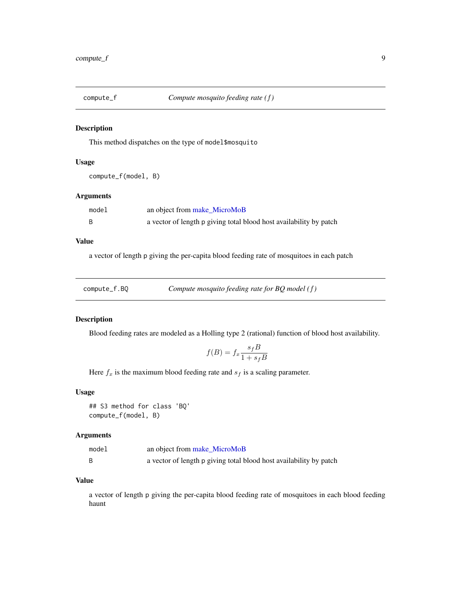<span id="page-8-0"></span>

This method dispatches on the type of model\$mosquito

# Usage

compute\_f(model, B)

# Arguments

| model | an object from make_MicroMoB                                       |
|-------|--------------------------------------------------------------------|
|       | a vector of length p giving total blood host availability by patch |

# Value

a vector of length p giving the per-capita blood feeding rate of mosquitoes in each patch

| compute_f.BQ | Compute mosquito feeding rate for $BQ$ model (f) |
|--------------|--------------------------------------------------|
|--------------|--------------------------------------------------|

# Description

Blood feeding rates are modeled as a Holling type 2 (rational) function of blood host availability.

$$
f(B) = f_x \frac{s_f B}{1 + s_f B}
$$

Here  $f_x$  is the maximum blood feeding rate and  $s_f$  is a scaling parameter.

### Usage

## S3 method for class 'BQ' compute\_f(model, B)

# Arguments

| model | an object from make_MicroMoB                                       |
|-------|--------------------------------------------------------------------|
|       | a vector of length p giving total blood host availability by patch |

# Value

a vector of length p giving the per-capita blood feeding rate of mosquitoes in each blood feeding haunt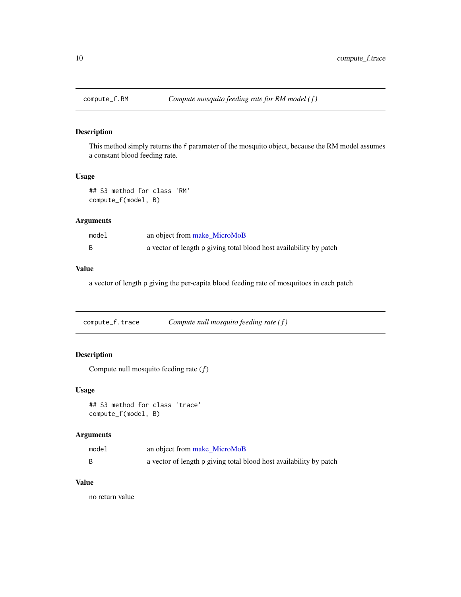<span id="page-9-0"></span>

This method simply returns the f parameter of the mosquito object, because the RM model assumes a constant blood feeding rate.

# Usage

```
## S3 method for class 'RM'
compute_f(model, B)
```
# Arguments

| model | an object from make_MicroMoB                                       |
|-------|--------------------------------------------------------------------|
|       | a vector of length p giving total blood host availability by patch |

#### Value

a vector of length p giving the per-capita blood feeding rate of mosquitoes in each patch

compute\_f.trace *Compute null mosquito feeding rate (*f*)*

# Description

Compute null mosquito feeding rate  $(f)$ 

# Usage

## S3 method for class 'trace' compute\_f(model, B)

# Arguments

| model | an object from make MicroMoB                                       |
|-------|--------------------------------------------------------------------|
|       | a vector of length p giving total blood host availability by patch |

# Value

no return value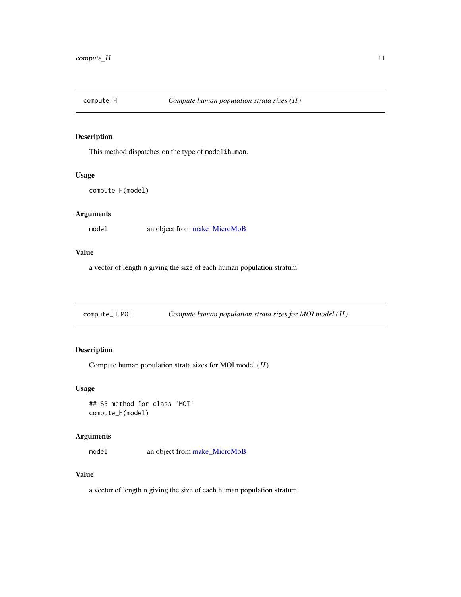<span id="page-10-0"></span>

This method dispatches on the type of model\$human.

## Usage

```
compute_H(model)
```
# Arguments

model an object from [make\\_MicroMoB](#page-42-1)

## Value

a vector of length n giving the size of each human population stratum

| Compute human population strata sizes for MOI model $(H)$<br>compute_H.MOI |
|----------------------------------------------------------------------------|
|----------------------------------------------------------------------------|

# Description

Compute human population strata sizes for MOI model  $(H)$ 

# Usage

## S3 method for class 'MOI' compute\_H(model)

## Arguments

model an object from [make\\_MicroMoB](#page-42-1)

# Value

a vector of length n giving the size of each human population stratum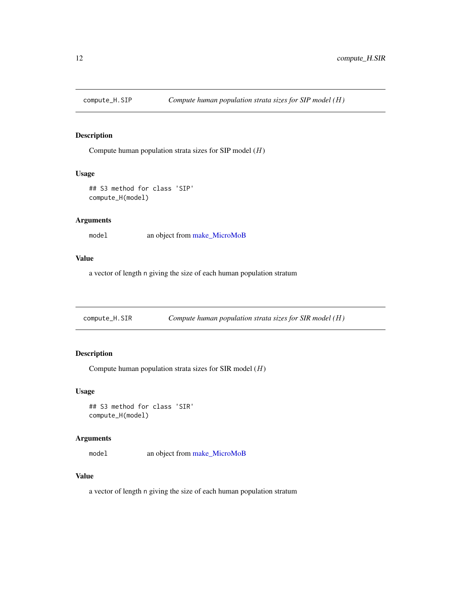<span id="page-11-0"></span>

Compute human population strata sizes for SIP model  $(H)$ 

# Usage

```
## S3 method for class 'SIP'
compute_H(model)
```
# Arguments

model an object from [make\\_MicroMoB](#page-42-1)

# Value

a vector of length n giving the size of each human population stratum

compute\_H.SIR *Compute human population strata sizes for SIR model (*H*)*

# Description

Compute human population strata sizes for SIR model  $(H)$ 

## Usage

## S3 method for class 'SIR' compute\_H(model)

# Arguments

model an object from [make\\_MicroMoB](#page-42-1)

#### Value

a vector of length n giving the size of each human population stratum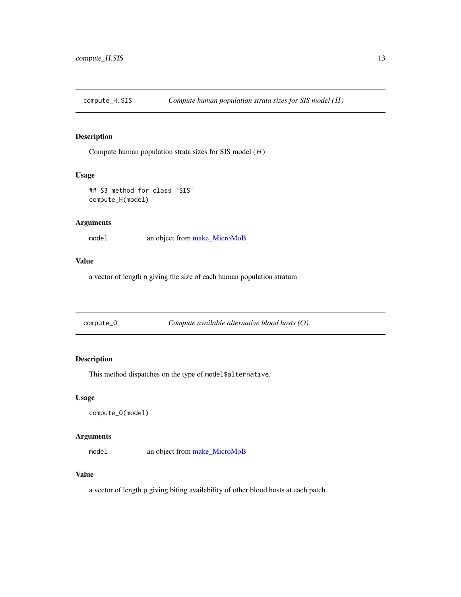<span id="page-12-0"></span>compute\_H.SIS *Compute human population strata sizes for SIS model (*H*)*

# Description

Compute human population strata sizes for SIS model  $(H)$ 

## Usage

```
## S3 method for class 'SIS'
compute_H(model)
```
## Arguments

model an object from [make\\_MicroMoB](#page-42-1)

# Value

a vector of length n giving the size of each human population stratum

|  | compute_0 |  |
|--|-----------|--|
|--|-----------|--|

compute\_O *Compute available alternative blood hosts (*O*)*

# Description

This method dispatches on the type of model\$alternative.

# Usage

```
compute_O(model)
```
# Arguments

model an object from [make\\_MicroMoB](#page-42-1)

# Value

a vector of length p giving biting availability of other blood hosts at each patch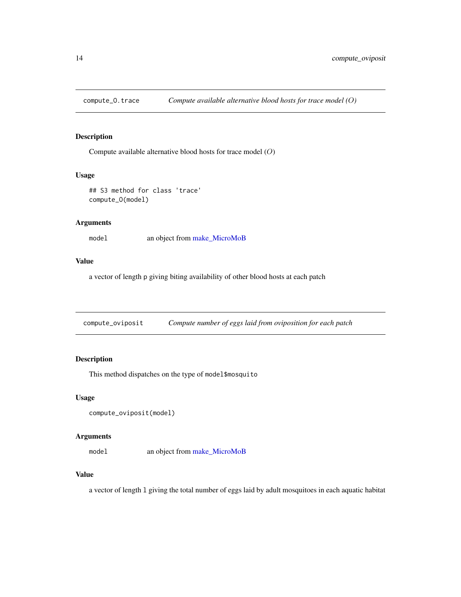<span id="page-13-0"></span>

Compute available alternative blood hosts for trace model (O)

#### Usage

```
## S3 method for class 'trace'
compute_O(model)
```
#### Arguments

model an object from [make\\_MicroMoB](#page-42-1)

# Value

a vector of length p giving biting availability of other blood hosts at each patch

compute\_oviposit *Compute number of eggs laid from oviposition for each patch*

# Description

This method dispatches on the type of model\$mosquito

# Usage

```
compute_oviposit(model)
```
# Arguments

model an object from [make\\_MicroMoB](#page-42-1)

# Value

a vector of length l giving the total number of eggs laid by adult mosquitoes in each aquatic habitat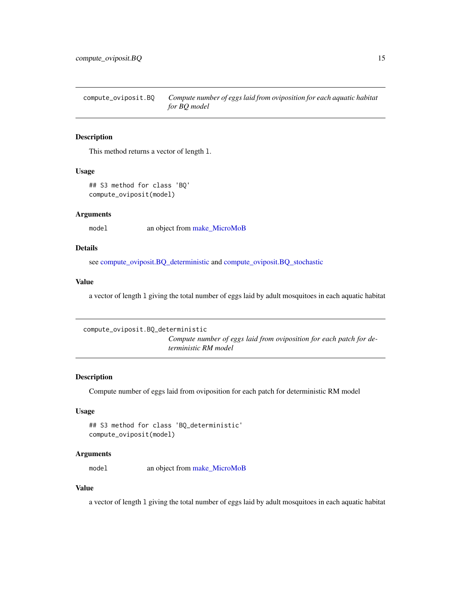<span id="page-14-0"></span>compute\_oviposit.BQ *Compute number of eggs laid from oviposition for each aquatic habitat for BQ model*

# Description

This method returns a vector of length l.

## Usage

```
## S3 method for class 'BQ'
compute_oviposit(model)
```
## Arguments

model an object from [make\\_MicroMoB](#page-42-1)

# Details

see [compute\\_oviposit.BQ\\_deterministic](#page-14-1) and [compute\\_oviposit.BQ\\_stochastic](#page-15-1)

## Value

a vector of length l giving the total number of eggs laid by adult mosquitoes in each aquatic habitat

```
compute_oviposit.BQ_deterministic
```
*Compute number of eggs laid from oviposition for each patch for deterministic RM model*

## Description

Compute number of eggs laid from oviposition for each patch for deterministic RM model

### Usage

```
## S3 method for class 'BQ_deterministic'
compute_oviposit(model)
```
## **Arguments**

model an object from [make\\_MicroMoB](#page-42-1)

## Value

a vector of length l giving the total number of eggs laid by adult mosquitoes in each aquatic habitat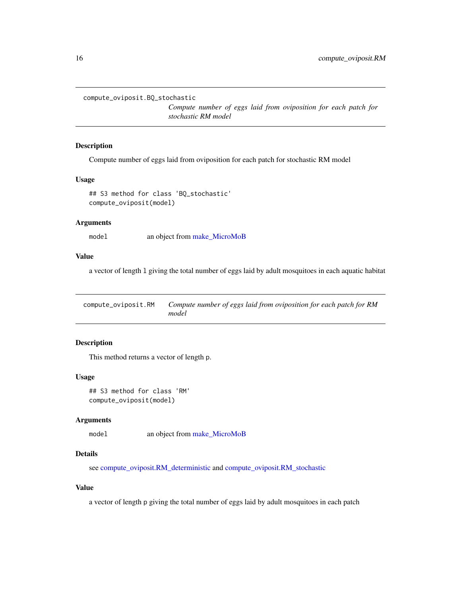```
compute_oviposit.BQ_stochastic
```
*Compute number of eggs laid from oviposition for each patch for stochastic RM model*

# Description

Compute number of eggs laid from oviposition for each patch for stochastic RM model

#### Usage

```
## S3 method for class 'BQ_stochastic'
compute_oviposit(model)
```
#### Arguments

model an object from [make\\_MicroMoB](#page-42-1)

# Value

a vector of length l giving the total number of eggs laid by adult mosquitoes in each aquatic habitat

compute\_oviposit.RM *Compute number of eggs laid from oviposition for each patch for RM model*

# Description

This method returns a vector of length p.

## Usage

## S3 method for class 'RM' compute\_oviposit(model)

#### Arguments

model an object from [make\\_MicroMoB](#page-42-1)

# Details

see [compute\\_oviposit.RM\\_deterministic](#page-16-1) and [compute\\_oviposit.RM\\_stochastic](#page-16-2)

## Value

a vector of length p giving the total number of eggs laid by adult mosquitoes in each patch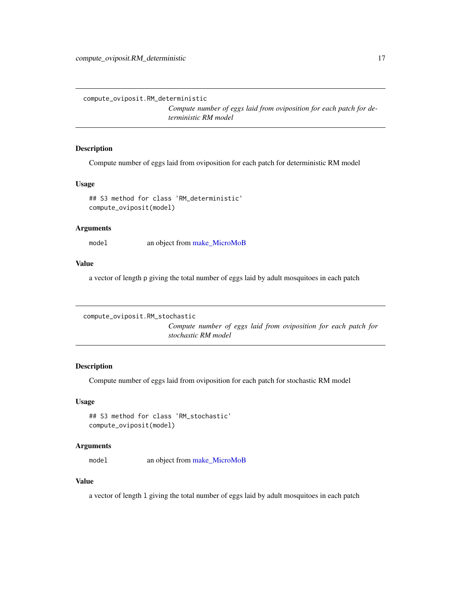<span id="page-16-1"></span><span id="page-16-0"></span>compute\_oviposit.RM\_deterministic

*Compute number of eggs laid from oviposition for each patch for deterministic RM model*

# Description

Compute number of eggs laid from oviposition for each patch for deterministic RM model

# Usage

```
## S3 method for class 'RM_deterministic'
compute_oviposit(model)
```
## Arguments

mode1 an object from [make\\_MicroMoB](#page-42-1)

# Value

a vector of length p giving the total number of eggs laid by adult mosquitoes in each patch

```
compute_oviposit.RM_stochastic
```
*Compute number of eggs laid from oviposition for each patch for stochastic RM model*

## Description

Compute number of eggs laid from oviposition for each patch for stochastic RM model

# Usage

```
## S3 method for class 'RM_stochastic'
compute_oviposit(model)
```
#### Arguments

model an object from [make\\_MicroMoB](#page-42-1)

# Value

a vector of length l giving the total number of eggs laid by adult mosquitoes in each patch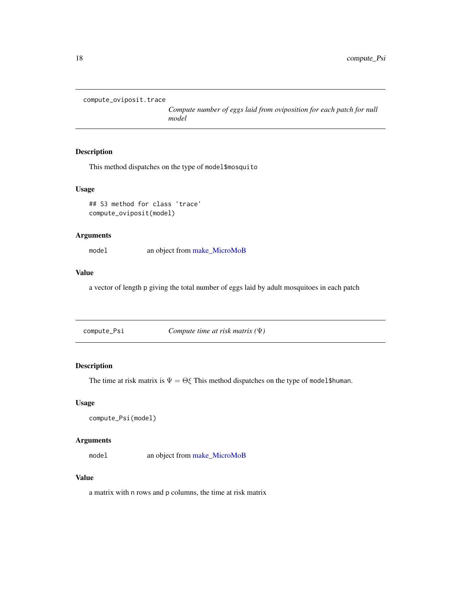```
compute_oviposit.trace
```
*Compute number of eggs laid from oviposition for each patch for null model*

# Description

This method dispatches on the type of model\$mosquito

#### Usage

## S3 method for class 'trace' compute\_oviposit(model)

# Arguments

model an object from [make\\_MicroMoB](#page-42-1)

# Value

a vector of length p giving the total number of eggs laid by adult mosquitoes in each patch

compute\_Psi *Compute time at risk matrix (*Ψ*)*

# Description

The time at risk matrix is  $\Psi = \Theta \xi$  This method dispatches on the type of model\$human.

## Usage

```
compute_Psi(model)
```
## Arguments

model an object from [make\\_MicroMoB](#page-42-1)

## Value

a matrix with n rows and p columns, the time at risk matrix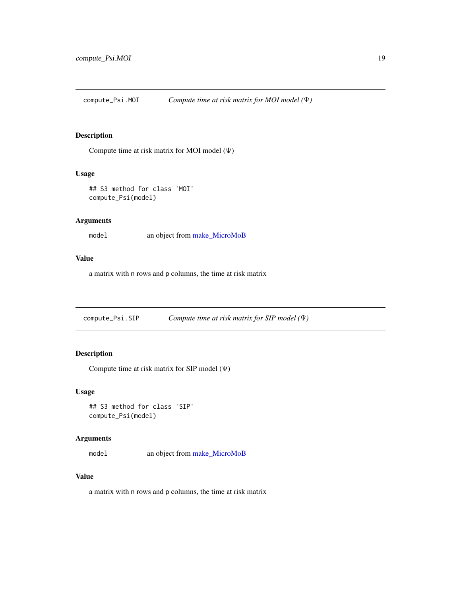<span id="page-18-0"></span>compute\_Psi.MOI *Compute time at risk matrix for MOI model (*Ψ*)*

# Description

Compute time at risk matrix for MOI model  $(\Psi)$ 

# Usage

```
## S3 method for class 'MOI'
compute_Psi(model)
```
# Arguments

model an object from [make\\_MicroMoB](#page-42-1)

# Value

a matrix with n rows and p columns, the time at risk matrix

compute\_Psi.SIP *Compute time at risk matrix for SIP model (*Ψ*)*

# Description

Compute time at risk matrix for SIP model (Ψ)

#### Usage

## S3 method for class 'SIP' compute\_Psi(model)

# Arguments

model an object from [make\\_MicroMoB](#page-42-1)

## Value

a matrix with n rows and p columns, the time at risk matrix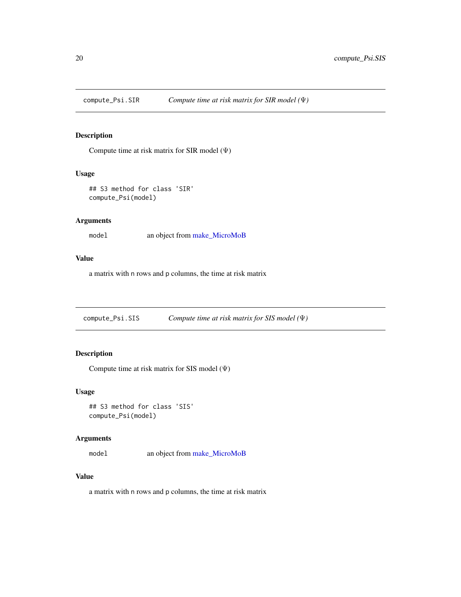<span id="page-19-0"></span>

Compute time at risk matrix for SIR model (Ψ)

# Usage

```
## S3 method for class 'SIR'
compute_Psi(model)
```
# Arguments

model an object from [make\\_MicroMoB](#page-42-1)

# Value

a matrix with n rows and p columns, the time at risk matrix

compute\_Psi.SIS *Compute time at risk matrix for SIS model (*Ψ*)*

# Description

Compute time at risk matrix for SIS model (Ψ)

# Usage

```
## S3 method for class 'SIS'
compute_Psi(model)
```
# Arguments

model an object from [make\\_MicroMoB](#page-42-1)

# Value

a matrix with n rows and p columns, the time at risk matrix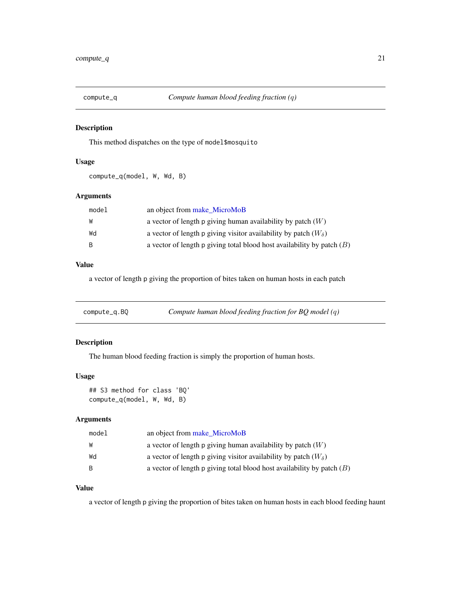<span id="page-20-0"></span>

This method dispatches on the type of model\$mosquito

# Usage

compute\_q(model, W, Wd, B)

# Arguments

| model        | an object from make_MicroMoB                                             |
|--------------|--------------------------------------------------------------------------|
| W            | a vector of length p giving human availability by patch $(W)$            |
| Wd           | a vector of length p giving visitor availability by patch $(W_{\delta})$ |
| <sub>B</sub> | a vector of length p giving total blood host availability by patch $(B)$ |

# Value

a vector of length p giving the proportion of bites taken on human hosts in each patch

| compute_q.BQ | Compute human blood feeding fraction for $BQ$ model (q) |  |
|--------------|---------------------------------------------------------|--|
|--------------|---------------------------------------------------------|--|

# Description

The human blood feeding fraction is simply the proportion of human hosts.

## Usage

```
## S3 method for class 'BQ'
compute_q(model, W, Wd, B)
```
# Arguments

| model | an object from make MicroMoB                                             |
|-------|--------------------------------------------------------------------------|
| W     | a vector of length p giving human availability by patch $(W)$            |
| Wd    | a vector of length p giving visitor availability by patch $(W_{\delta})$ |
| - B   | a vector of length p giving total blood host availability by patch $(B)$ |

# Value

a vector of length p giving the proportion of bites taken on human hosts in each blood feeding haunt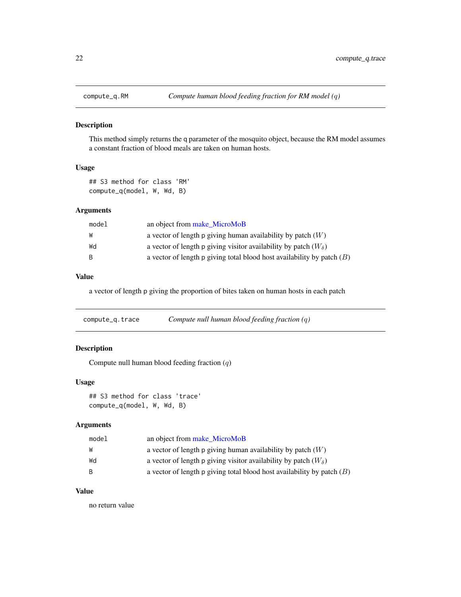<span id="page-21-0"></span>

This method simply returns the q parameter of the mosquito object, because the RM model assumes a constant fraction of blood meals are taken on human hosts.

# Usage

## S3 method for class 'RM' compute\_q(model, W, Wd, B)

# Arguments

| model        | an object from make_MicroMoB                                             |
|--------------|--------------------------------------------------------------------------|
| W            | a vector of length p giving human availability by patch $(W)$            |
| Wd           | a vector of length p giving visitor availability by patch $(W_{\delta})$ |
| <sup>B</sup> | a vector of length p giving total blood host availability by patch $(B)$ |

# Value

a vector of length p giving the proportion of bites taken on human hosts in each patch

| compute_q.trace | Compute null human blood feeding fraction $(q)$ |  |  |  |
|-----------------|-------------------------------------------------|--|--|--|
|-----------------|-------------------------------------------------|--|--|--|

# Description

Compute null human blood feeding fraction (q)

## Usage

```
## S3 method for class 'trace'
compute_q(model, W, Wd, B)
```
# Arguments

| model | an object from make_MicroMoB                                             |
|-------|--------------------------------------------------------------------------|
| W     | a vector of length p giving human availability by patch $(W)$            |
| Wd    | a vector of length p giving visitor availability by patch $(W_{\delta})$ |
| B.    | a vector of length p giving total blood host availability by patch $(B)$ |

# Value

no return value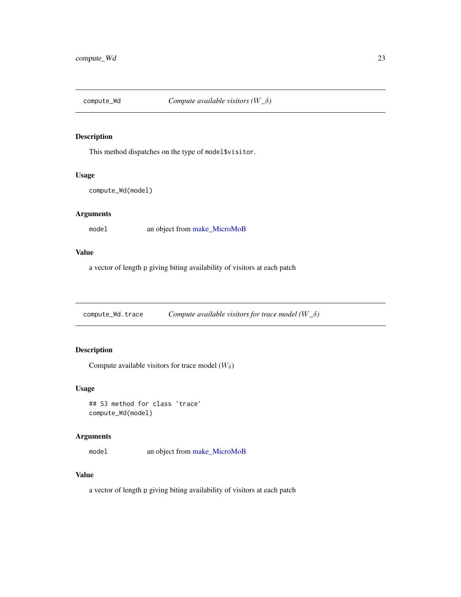<span id="page-22-0"></span>

This method dispatches on the type of model\$visitor.

## Usage

```
compute_Wd(model)
```
# Arguments

model an object from [make\\_MicroMoB](#page-42-1)

# Value

a vector of length p giving biting availability of visitors at each patch

compute\_Wd.trace *Compute available visitors for trace model (*W*\_*δ*)*

# Description

Compute available visitors for trace model  $(W_\delta)$ 

# Usage

## S3 method for class 'trace' compute\_Wd(model)

# Arguments

model an object from [make\\_MicroMoB](#page-42-1)

# Value

a vector of length p giving biting availability of visitors at each patch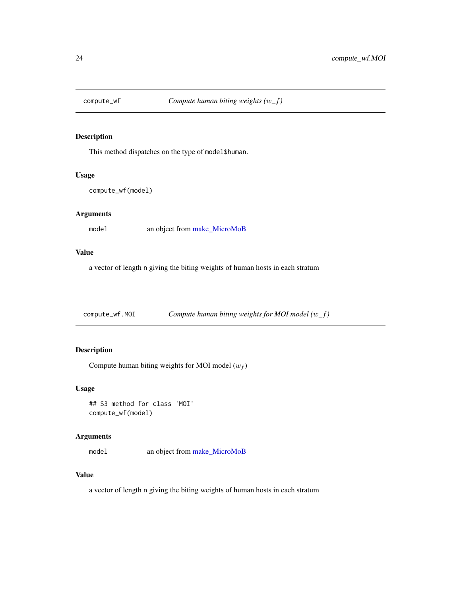<span id="page-23-0"></span>

This method dispatches on the type of model\$human.

## Usage

```
compute_wf(model)
```
# Arguments

model an object from [make\\_MicroMoB](#page-42-1)

## Value

a vector of length n giving the biting weights of human hosts in each stratum

compute\_wf.MOI *Compute human biting weights for MOI model (*w*\_*f*)*

# Description

Compute human biting weights for MOI model  $(w_f)$ 

# Usage

```
## S3 method for class 'MOI'
compute_wf(model)
```
# Arguments

model an object from [make\\_MicroMoB](#page-42-1)

# Value

a vector of length n giving the biting weights of human hosts in each stratum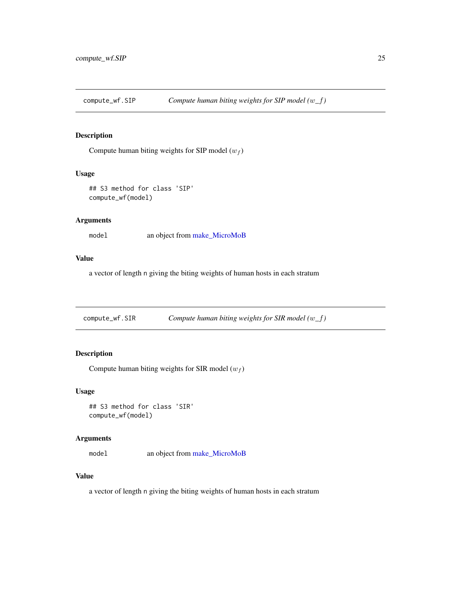<span id="page-24-0"></span>compute\_wf.SIP *Compute human biting weights for SIP model (*w*\_*f*)*

# Description

Compute human biting weights for SIP model  $(w_f)$ 

# Usage

```
## S3 method for class 'SIP'
compute_wf(model)
```
# Arguments

model an object from [make\\_MicroMoB](#page-42-1)

# Value

a vector of length n giving the biting weights of human hosts in each stratum

compute\_wf.SIR *Compute human biting weights for SIR model (*w*\_*f*)*

# Description

Compute human biting weights for SIR model  $(w_f)$ 

#### Usage

## S3 method for class 'SIR' compute\_wf(model)

## Arguments

model an object from [make\\_MicroMoB](#page-42-1)

# Value

a vector of length n giving the biting weights of human hosts in each stratum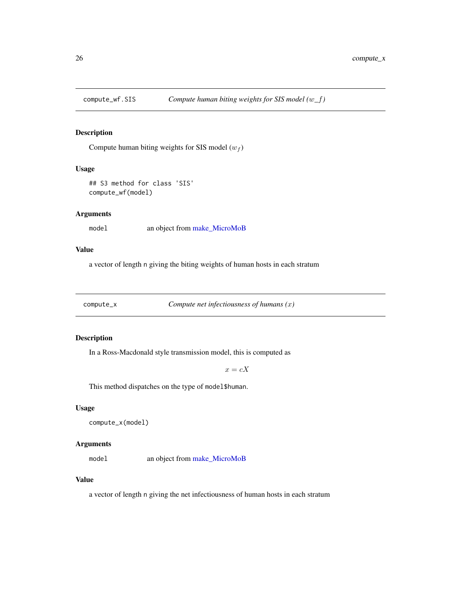<span id="page-25-0"></span>

Compute human biting weights for SIS model  $(w_f)$ 

#### Usage

```
## S3 method for class 'SIS'
compute_wf(model)
```
# Arguments

model an object from [make\\_MicroMoB](#page-42-1)

# Value

a vector of length n giving the biting weights of human hosts in each stratum

compute\_x *Compute net infectiousness of humans (*x*)*

## Description

In a Ross-Macdonald style transmission model, this is computed as

 $x=cX$ 

This method dispatches on the type of model\$human.

## Usage

```
compute_x(model)
```
# Arguments

model an object from [make\\_MicroMoB](#page-42-1)

#### Value

a vector of length n giving the net infectiousness of human hosts in each stratum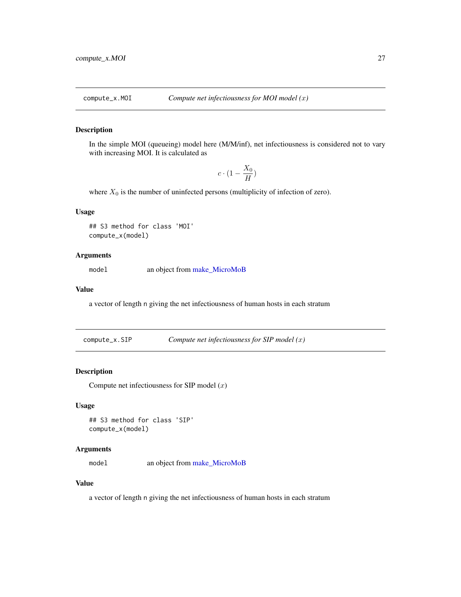<span id="page-26-0"></span>

In the simple MOI (queueing) model here (M/M/inf), net infectiousness is considered not to vary with increasing MOI. It is calculated as

$$
c\cdot (1-\frac{X_0}{H})
$$

where  $X_0$  is the number of uninfected persons (multiplicity of infection of zero).

## Usage

## S3 method for class 'MOI' compute\_x(model)

## Arguments

model an object from [make\\_MicroMoB](#page-42-1)

## Value

a vector of length n giving the net infectiousness of human hosts in each stratum

compute\_x.SIP *Compute net infectiousness for SIP model (*x*)*

# Description

Compute net infectiousness for SIP model  $(x)$ 

# Usage

## S3 method for class 'SIP' compute\_x(model)

## Arguments

mode1 an object from [make\\_MicroMoB](#page-42-1)

# Value

a vector of length n giving the net infectiousness of human hosts in each stratum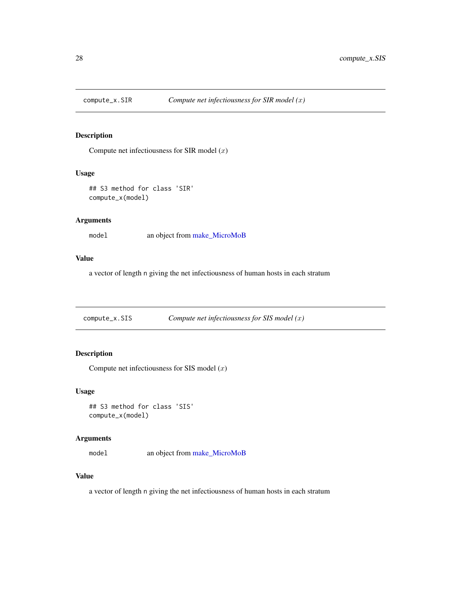<span id="page-27-0"></span>

Compute net infectiousness for SIR model  $(x)$ 

# Usage

```
## S3 method for class 'SIR'
compute_x(model)
```
# Arguments

model an object from [make\\_MicroMoB](#page-42-1)

# Value

a vector of length n giving the net infectiousness of human hosts in each stratum

compute\_x.SIS *Compute net infectiousness for SIS model (*x*)*

# Description

Compute net infectiousness for SIS model  $(x)$ 

## Usage

```
## S3 method for class 'SIS'
compute_x(model)
```
# Arguments

model an object from [make\\_MicroMoB](#page-42-1)

#### Value

a vector of length n giving the net infectiousness of human hosts in each stratum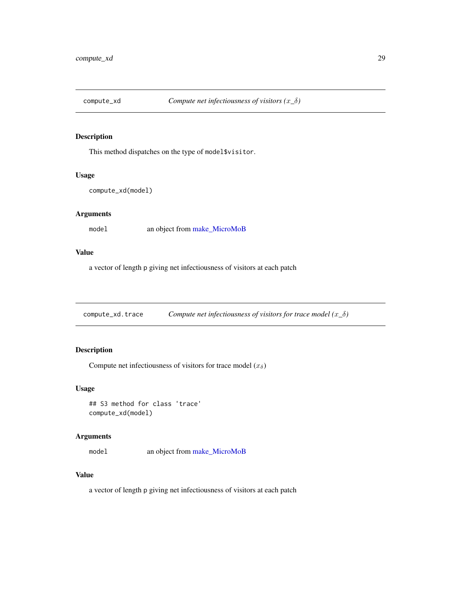<span id="page-28-0"></span>

This method dispatches on the type of model\$visitor.

## Usage

```
compute_xd(model)
```
# Arguments

model an object from [make\\_MicroMoB](#page-42-1)

## Value

a vector of length p giving net infectiousness of visitors at each patch

compute\_xd.trace *Compute net infectiousness of visitors for trace model (*x*\_*δ*)*

# Description

Compute net infectiousness of visitors for trace model  $(x_\delta)$ 

# Usage

## S3 method for class 'trace' compute\_xd(model)

## Arguments

model an object from [make\\_MicroMoB](#page-42-1)

# Value

a vector of length p giving net infectiousness of visitors at each patch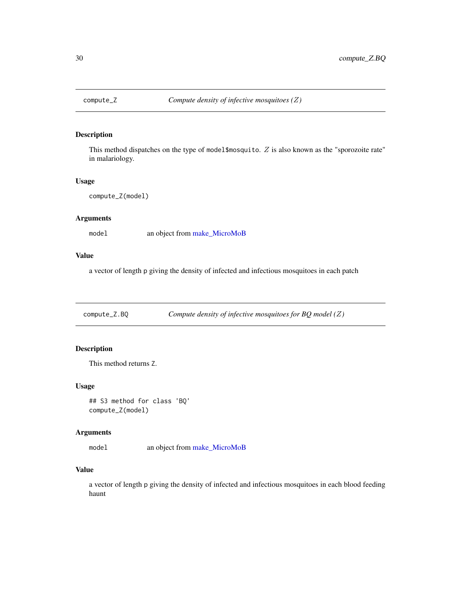<span id="page-29-0"></span>

This method dispatches on the type of model\$mosquito. Z is also known as the "sporozoite rate" in malariology.

#### Usage

```
compute_Z(model)
```
## Arguments

model an object from [make\\_MicroMoB](#page-42-1)

## Value

a vector of length p giving the density of infected and infectious mosquitoes in each patch

compute\_Z.BQ *Compute density of infective mosquitoes for BQ model (*Z*)*

# Description

This method returns Z.

## Usage

## S3 method for class 'BQ' compute\_Z(model)

## Arguments

model an object from [make\\_MicroMoB](#page-42-1)

## Value

a vector of length p giving the density of infected and infectious mosquitoes in each blood feeding haunt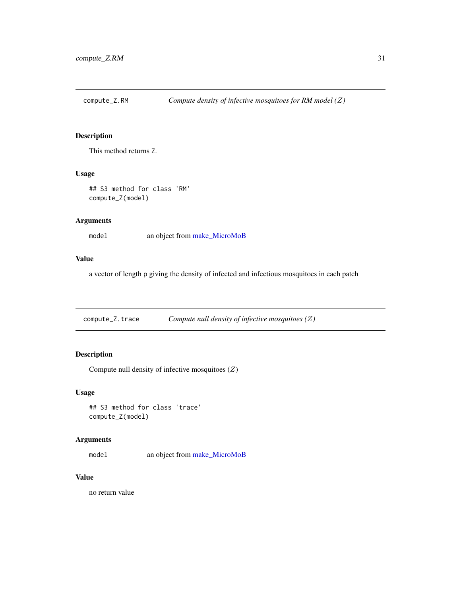<span id="page-30-0"></span>

This method returns Z.

# Usage

## S3 method for class 'RM' compute\_Z(model)

# Arguments

model an object from [make\\_MicroMoB](#page-42-1)

# Value

a vector of length p giving the density of infected and infectious mosquitoes in each patch

compute\_Z.trace *Compute null density of infective mosquitoes (*Z*)*

# Description

Compute null density of infective mosquitoes  $(Z)$ 

## Usage

## S3 method for class 'trace' compute\_Z(model)

## Arguments

model an object from [make\\_MicroMoB](#page-42-1)

# Value

no return value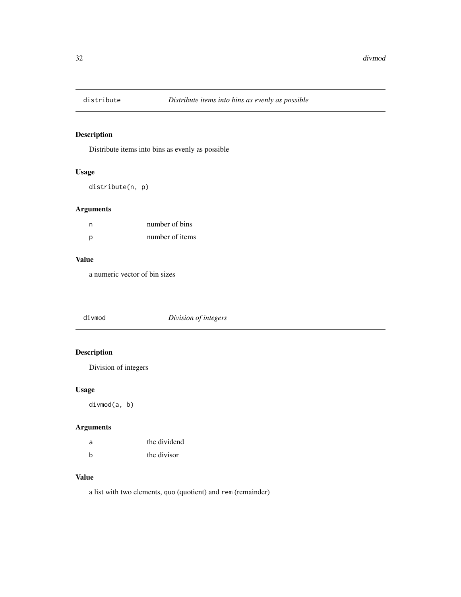<span id="page-31-0"></span>

Distribute items into bins as evenly as possible

# Usage

distribute(n, p)

# Arguments

| n | number of bins  |
|---|-----------------|
| p | number of items |

# Value

a numeric vector of bin sizes

divmod *Division of integers*

# Description

Division of integers

# Usage

divmod(a, b)

# Arguments

| a | the dividend |
|---|--------------|
| b | the divisor  |

# Value

a list with two elements, quo (quotient) and rem (remainder)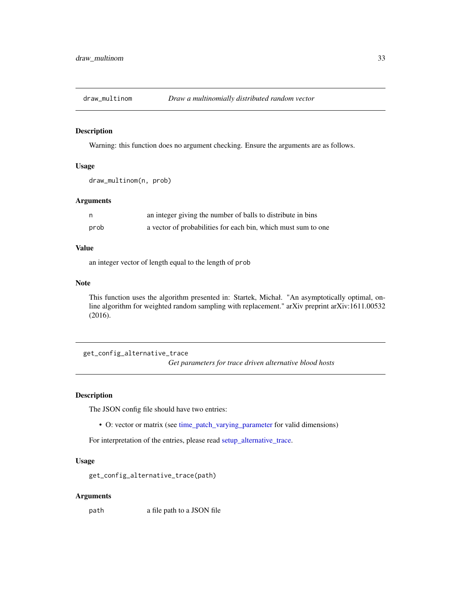<span id="page-32-0"></span>

Warning: this function does no argument checking. Ensure the arguments are as follows.

# Usage

```
draw_multinom(n, prob)
```
#### Arguments

|      | an integer giving the number of balls to distribute in bins   |
|------|---------------------------------------------------------------|
| prob | a vector of probabilities for each bin, which must sum to one |

## Value

an integer vector of length equal to the length of prob

#### Note

This function uses the algorithm presented in: Startek, Michał. "An asymptotically optimal, online algorithm for weighted random sampling with replacement." arXiv preprint arXiv:1611.00532 (2016).

get\_config\_alternative\_trace *Get parameters for trace driven alternative blood hosts*

## Description

The JSON config file should have two entries:

• O: vector or matrix (see [time\\_patch\\_varying\\_parameter](#page-72-1) for valid dimensions)

For interpretation of the entries, please read [setup\\_alternative\\_trace.](#page-49-1)

## Usage

get\_config\_alternative\_trace(path)

#### Arguments

path a file path to a JSON file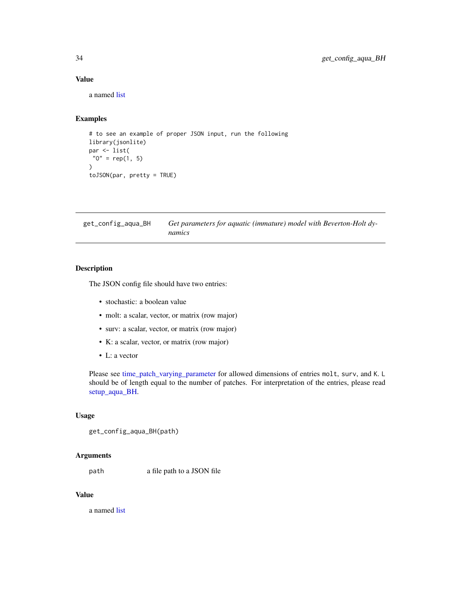## Value

a named [list](#page-0-0)

# Examples

```
# to see an example of proper JSON input, run the following
library(jsonlite)
par <- list(
 "0" = rep(1, 5)\mathcal{L}toJSON(par, pretty = TRUE)
```
get\_config\_aqua\_BH *Get parameters for aquatic (immature) model with Beverton-Holt dynamics*

#### Description

The JSON config file should have two entries:

- stochastic: a boolean value
- molt: a scalar, vector, or matrix (row major)
- surv: a scalar, vector, or matrix (row major)
- K: a scalar, vector, or matrix (row major)
- L: a vector

Please see [time\\_patch\\_varying\\_parameter](#page-72-1) for allowed dimensions of entries molt, surv, and K. L should be of length equal to the number of patches. For interpretation of the entries, please read [setup\\_aqua\\_BH.](#page-49-2)

## Usage

```
get_config_aqua_BH(path)
```
# Arguments

path a file path to a JSON file

## Value

a named [list](#page-0-0)

<span id="page-33-0"></span>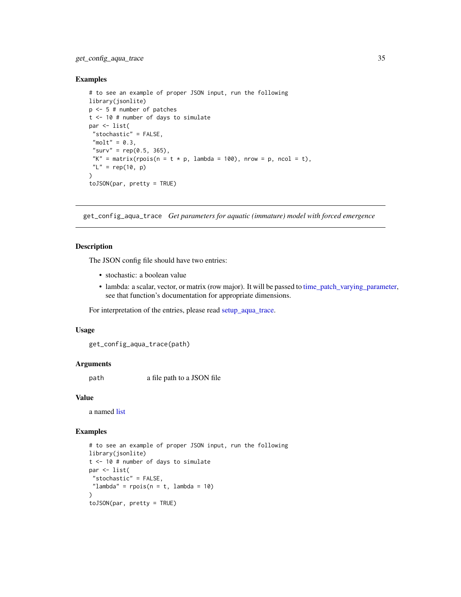# <span id="page-34-0"></span>get\_config\_aqua\_trace 35

#### Examples

```
# to see an example of proper JSON input, run the following
library(jsonlite)
p <- 5 # number of patches
t <- 10 # number of days to simulate
par <- list(
 "stochastic" = FALSE,
 "molt" = 0.3,"surv" = rep(0.5, 365),
 "K" = matrix(rpois(n = t * p, lambda = 100), nrow = p, ncol = t),
 "L" = rep(10, p))
toJSON(par, pretty = TRUE)
```
get\_config\_aqua\_trace *Get parameters for aquatic (immature) model with forced emergence*

## Description

The JSON config file should have two entries:

- stochastic: a boolean value
- lambda: a scalar, vector, or matrix (row major). It will be passed to [time\\_patch\\_varying\\_parameter,](#page-72-1) see that function's documentation for appropriate dimensions.

For interpretation of the entries, please read [setup\\_aqua\\_trace.](#page-50-1)

#### Usage

get\_config\_aqua\_trace(path)

#### Arguments

path a file path to a JSON file

#### Value

a named [list](#page-0-0)

## Examples

```
# to see an example of proper JSON input, run the following
library(jsonlite)
t <- 10 # number of days to simulate
par <- list(
 "stochastic" = FALSE,
 "lambda" = rpois(n = t, lambda = 10))
toJSON(par, pretty = TRUE)
```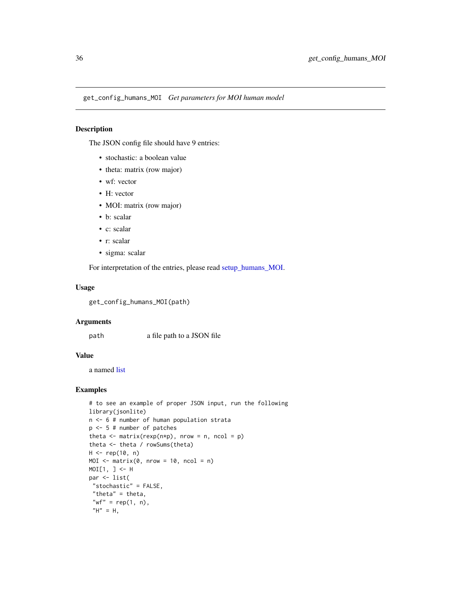<span id="page-35-0"></span>get\_config\_humans\_MOI *Get parameters for MOI human model*

# Description

The JSON config file should have 9 entries:

- stochastic: a boolean value
- theta: matrix (row major)
- wf: vector
- H: vector
- MOI: matrix (row major)
- b: scalar
- c: scalar
- r: scalar
- sigma: scalar

For interpretation of the entries, please read [setup\\_humans\\_MOI.](#page-50-2)

## Usage

get\_config\_humans\_MOI(path)

#### Arguments

path a file path to a JSON file

## Value

a named [list](#page-0-0)

# Examples

```
# to see an example of proper JSON input, run the following
library(jsonlite)
n <- 6 # number of human population strata
p <- 5 # number of patches
theta \leq matrix(rexp(n*p), nrow = n, ncol = p)
theta <- theta / rowSums(theta)
H < - rep(10, n)
MOI \leq matrix(0, nrow = 10, ncol = n)
MOI[1, ] <- H
par <- list(
 "stochastic" = FALSE,
 "theta" = theta,
 "wf" = rep(1, n),
 "H" = H,
```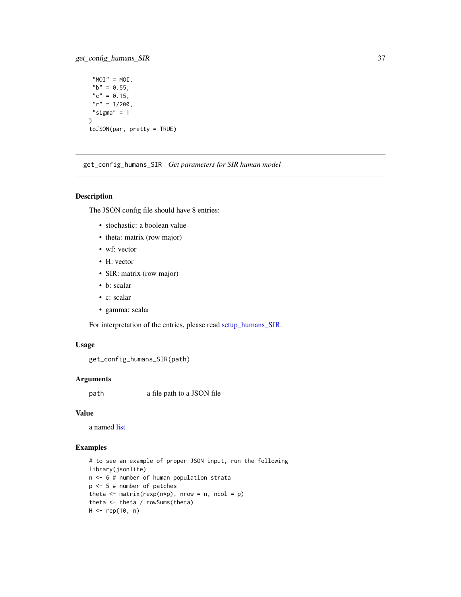## get\_config\_humans\_SIR 37

```
"MOI" = MOI,
nb'' = 0.55,
"c" = 0.15,"r" = 1/200,"sigma" = 1\mathcal{L}toJSON(par, pretty = TRUE)
```
get\_config\_humans\_SIR *Get parameters for SIR human model*

### Description

The JSON config file should have 8 entries:

- stochastic: a boolean value
- theta: matrix (row major)
- wf: vector
- H: vector
- SIR: matrix (row major)
- b: scalar
- c: scalar
- gamma: scalar

For interpretation of the entries, please read [setup\\_humans\\_SIR.](#page-53-0)

### Usage

```
get_config_humans_SIR(path)
```
### Arguments

path a file path to a JSON file

## Value

a named [list](#page-0-0)

## Examples

```
# to see an example of proper JSON input, run the following
library(jsonlite)
n <- 6 # number of human population strata
p <- 5 # number of patches
theta \leq matrix(rexp(n*p), nrow = n, ncol = p)
theta <- theta / rowSums(theta)
H < - rep(10, n)
```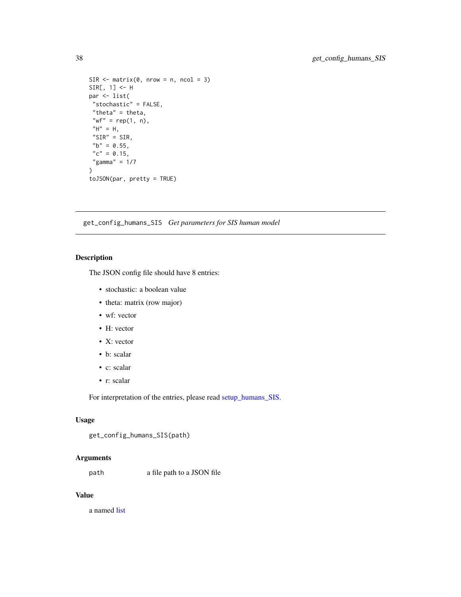```
SIR \leftarrow matrix(0, nrow = n, ncol = 3)SIR[, 1] <- H
par <- list(
 "stochastic" = FALSE,
 "theta" = theta,
 "wf" = rep(1, n),
 "H" = H,"SIR" = SIR,
 "b" = 0.55,
 "c" = 0.15,"gamma" = 1/7\mathcal{L}toJSON(par, pretty = TRUE)
```
get\_config\_humans\_SIS *Get parameters for SIS human model*

### Description

The JSON config file should have 8 entries:

- stochastic: a boolean value
- theta: matrix (row major)
- wf: vector
- H: vector
- X: vector
- b: scalar
- c: scalar
- r: scalar

For interpretation of the entries, please read [setup\\_humans\\_SIS.](#page-54-0)

### Usage

```
get_config_humans_SIS(path)
```
### Arguments

path a file path to a JSON file

## Value

a named [list](#page-0-0)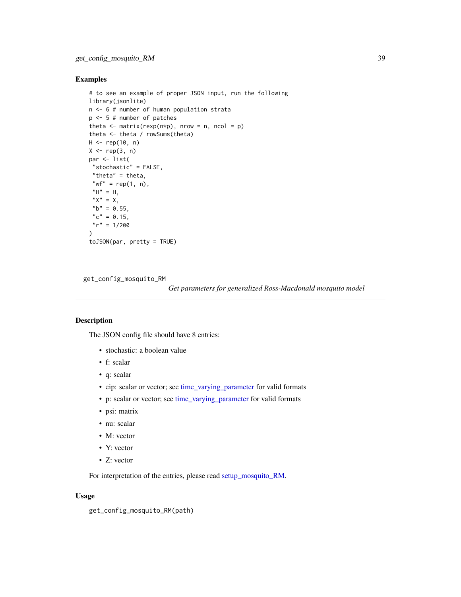## Examples

```
# to see an example of proper JSON input, run the following
library(jsonlite)
n <- 6 # number of human population strata
p <- 5 # number of patches
theta \leq matrix(rexp(n*p), nrow = n, ncol = p)
theta <- theta / rowSums(theta)
H < - rep(10, n)
X \leftarrow \text{rep}(3, n)par <- list(
 "stochastic" = FALSE,
 "theta" = theta,
 "wf" = rep(1, n),
 "H" = H,"X" = X,"b" = 0.55,
 "c" = 0.15,"r" = 1/200\mathcal{L}toJSON(par, pretty = TRUE)
```
get\_config\_mosquito\_RM

*Get parameters for generalized Ross-Macdonald mosquito model*

#### Description

The JSON config file should have 8 entries:

- stochastic: a boolean value
- f: scalar
- q: scalar
- eip: scalar or vector; see [time\\_varying\\_parameter](#page-73-0) for valid formats
- p: scalar or vector; see [time\\_varying\\_parameter](#page-73-0) for valid formats
- psi: matrix
- nu: scalar
- M: vector
- Y: vector
- Z: vector

For interpretation of the entries, please read [setup\\_mosquito\\_RM.](#page-56-0)

#### Usage

```
get_config_mosquito_RM(path)
```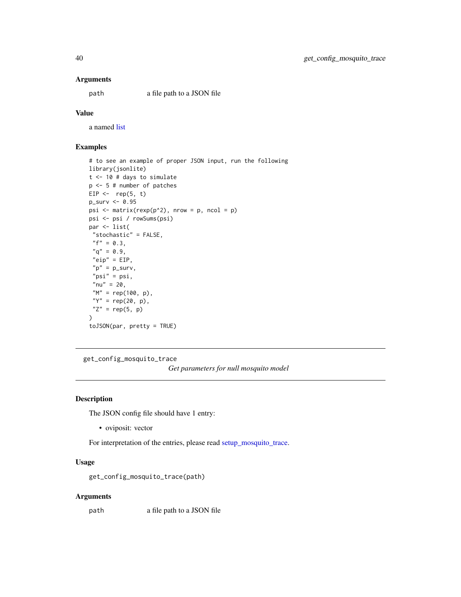#### Arguments

path a file path to a JSON file

## Value

a named [list](#page-0-0)

## Examples

```
# to see an example of proper JSON input, run the following
library(jsonlite)
t <- 10 # days to simulate
p <- 5 # number of patches
EIP \leftarrow rep(5, t)
p_surv <- 0.95
psi \leq matrix(rexp(p^2), nrow = p, ncol = p)
psi <- psi / rowSums(psi)
par <- list(
 "stochastic" = FALSE,
 "f" = 0.3,"q" = 0.9,"eip" = EIP,"p" = p_surv,
 "psi" = psi,
 "nu" = 20,"M" = rep(100, p),
 "Y" = rep(20, p),"Z" = rep(5, p))
toJSON(par, pretty = TRUE)
```
get\_config\_mosquito\_trace

*Get parameters for null mosquito model*

### Description

The JSON config file should have 1 entry:

• oviposit: vector

For interpretation of the entries, please read [setup\\_mosquito\\_trace.](#page-57-0)

### Usage

get\_config\_mosquito\_trace(path)

#### Arguments

path a file path to a JSON file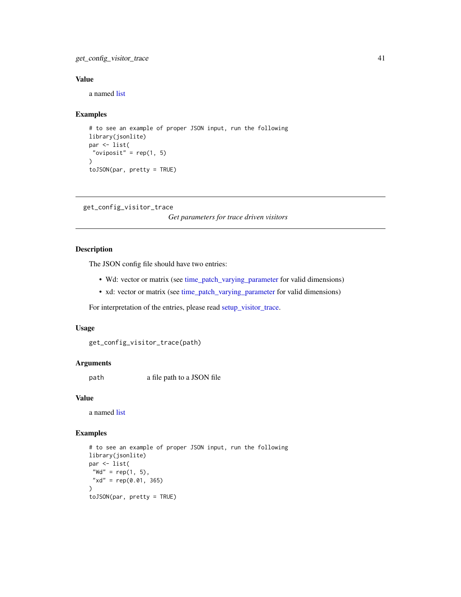get\_config\_visitor\_trace 41

## Value

a named [list](#page-0-0)

### Examples

```
# to see an example of proper JSON input, run the following
library(jsonlite)
par <- list(
 "oviposit" = rep(1, 5)\lambdatoJSON(par, pretty = TRUE)
```

```
get_config_visitor_trace
```
*Get parameters for trace driven visitors*

## Description

The JSON config file should have two entries:

- Wd: vector or matrix (see [time\\_patch\\_varying\\_parameter](#page-72-0) for valid dimensions)
- xd: vector or matrix (see [time\\_patch\\_varying\\_parameter](#page-72-0) for valid dimensions)

For interpretation of the entries, please read [setup\\_visitor\\_trace.](#page-57-1)

#### Usage

```
get_config_visitor_trace(path)
```
### Arguments

path a file path to a JSON file

### Value

a named [list](#page-0-0)

### Examples

```
# to see an example of proper JSON input, run the following
library(jsonlite)
par <- list(
"Wd" = rep(1, 5),"xd" = rep(0.01, 365)\mathcal{L}toJSON(par, pretty = TRUE)
```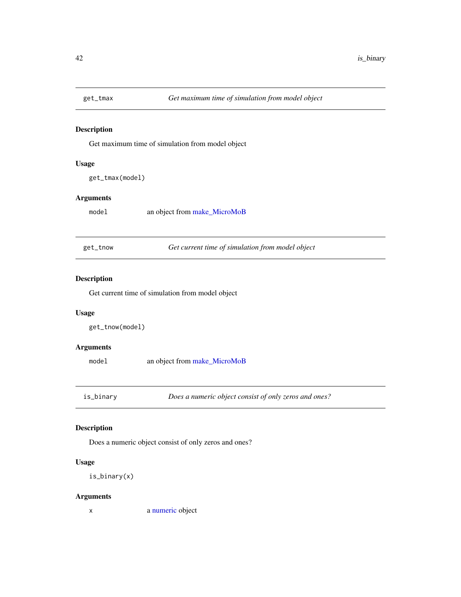## Description

Get maximum time of simulation from model object

## Usage

```
get_tmax(model)
```
## Arguments

model an object from [make\\_MicroMoB](#page-42-0)

get\_tnow *Get current time of simulation from model object*

# Description

Get current time of simulation from model object

### Usage

```
get_tnow(model)
```
### Arguments

model an object from [make\\_MicroMoB](#page-42-0)

is\_binary *Does a numeric object consist of only zeros and ones?*

## Description

Does a numeric object consist of only zeros and ones?

## Usage

is\_binary(x)

## Arguments

x a [numeric](#page-0-0) object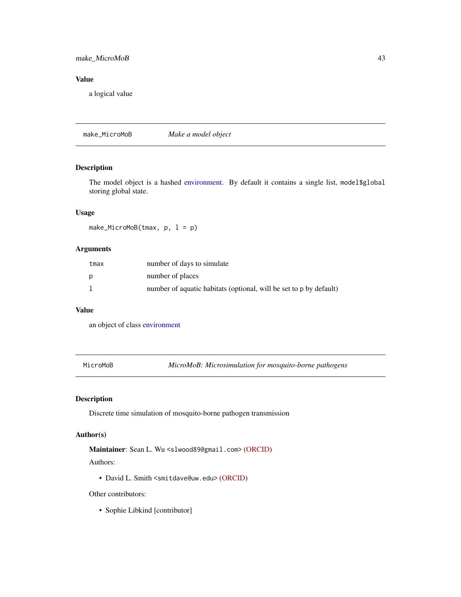## make\_MicroMoB 43

## Value

a logical value

<span id="page-42-0"></span>make\_MicroMoB *Make a model object*

## Description

The model object is a hashed [environment.](#page-0-0) By default it contains a single list, model\$global storing global state.

## Usage

make\_MicroMoB(tmax, p, l = p)

### Arguments

| tmax | number of days to simulate                                         |
|------|--------------------------------------------------------------------|
| D    | number of places                                                   |
|      | number of aquatic habitats (optional, will be set to p by default) |

#### Value

an object of class [environment](#page-0-0)

|  | MicroMoB |
|--|----------|
|  |          |

MicroMoB *MicroMoB: Microsimulation for mosquito-borne pathogens*

## Description

Discrete time simulation of mosquito-borne pathogen transmission

# Author(s)

Maintainer: Sean L. Wu <slwood89@gmail.com> [\(ORCID\)](https://orcid.org/0000-0002-5781-9493)

Authors:

• David L. Smith <smitdave@uw.edu> [\(ORCID\)](https://orcid.org/0000-0003-4367-3849)

## Other contributors:

• Sophie Libkind [contributor]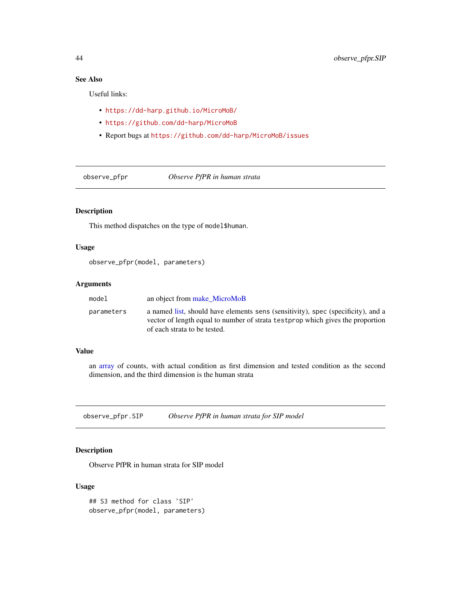# See Also

Useful links:

- <https://dd-harp.github.io/MicroMoB/>
- <https://github.com/dd-harp/MicroMoB>
- Report bugs at <https://github.com/dd-harp/MicroMoB/issues>

observe\_pfpr *Observe PfPR in human strata*

## Description

This method dispatches on the type of model\$human.

## Usage

observe\_pfpr(model, parameters)

### Arguments

| model      | an object from make MicroMoB                                                                                                                                                                        |
|------------|-----------------------------------------------------------------------------------------------------------------------------------------------------------------------------------------------------|
| parameters | a named list, should have elements sens (sensitivity), spec (specificity), and a<br>vector of length equal to number of strata test prop which gives the proportion<br>of each strata to be tested. |

### Value

an [array](#page-0-0) of counts, with actual condition as first dimension and tested condition as the second dimension, and the third dimension is the human strata

observe\_pfpr.SIP *Observe PfPR in human strata for SIP model*

## Description

Observe PfPR in human strata for SIP model

## Usage

## S3 method for class 'SIP' observe\_pfpr(model, parameters)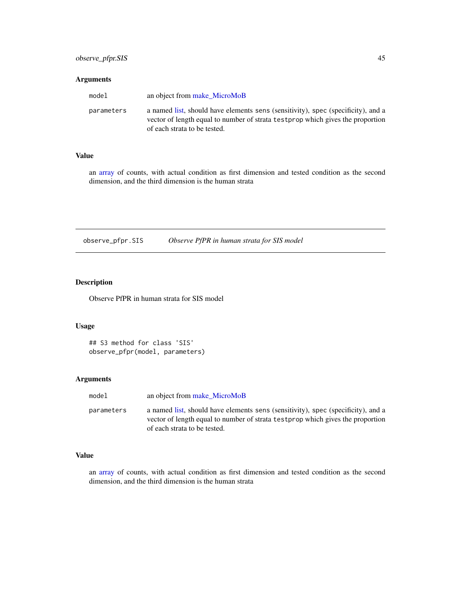### Arguments

| model      | an object from make MicroMoB                                                                                                                                                                        |
|------------|-----------------------------------------------------------------------------------------------------------------------------------------------------------------------------------------------------|
| parameters | a named list, should have elements sens (sensitivity), spec (specificity), and a<br>vector of length equal to number of strata test prop which gives the proportion<br>of each strata to be tested. |

### Value

an [array](#page-0-0) of counts, with actual condition as first dimension and tested condition as the second dimension, and the third dimension is the human strata

observe\_pfpr.SIS *Observe PfPR in human strata for SIS model*

# Description

Observe PfPR in human strata for SIS model

## Usage

```
## S3 method for class 'SIS'
observe_pfpr(model, parameters)
```
### Arguments

| model      | an object from make MicroMoB                                                                                                                                                                        |
|------------|-----------------------------------------------------------------------------------------------------------------------------------------------------------------------------------------------------|
| parameters | a named list, should have elements sens (sensitivity), spec (specificity), and a<br>vector of length equal to number of strata test prop which gives the proportion<br>of each strata to be tested. |

## Value

an [array](#page-0-0) of counts, with actual condition as first dimension and tested condition as the second dimension, and the third dimension is the human strata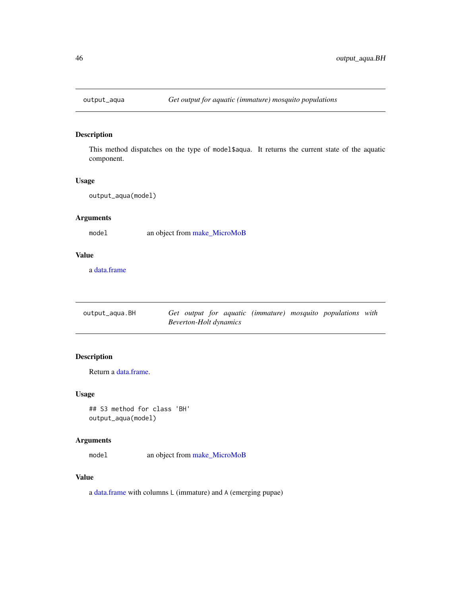## Description

This method dispatches on the type of model\$aqua. It returns the current state of the aquatic component.

#### Usage

output\_aqua(model)

# Arguments

model an object from [make\\_MicroMoB](#page-42-0)

### Value

a [data.frame](#page-0-0)

| output_aqua.BH |                        |  |  | Get output for aquatic (immature) mosquito populations with |  |
|----------------|------------------------|--|--|-------------------------------------------------------------|--|
|                | Beverton-Holt dynamics |  |  |                                                             |  |

# Description

Return a [data.frame.](#page-0-0)

### Usage

## S3 method for class 'BH' output\_aqua(model)

## Arguments

model an object from [make\\_MicroMoB](#page-42-0)

## Value

a [data.frame](#page-0-0) with columns L (immature) and A (emerging pupae)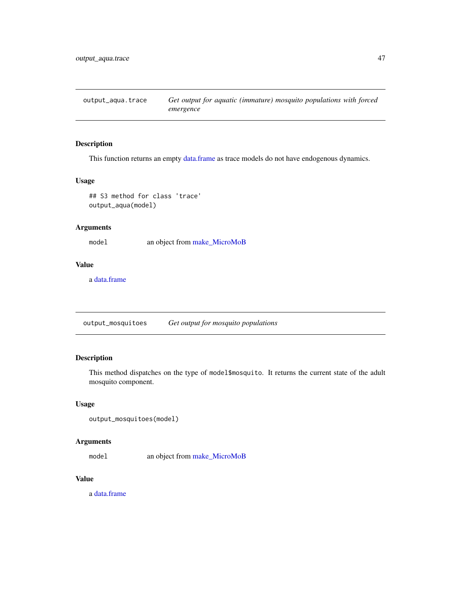output\_aqua.trace *Get output for aquatic (immature) mosquito populations with forced emergence*

## Description

This function returns an empty [data.frame](#page-0-0) as trace models do not have endogenous dynamics.

### Usage

## S3 method for class 'trace' output\_aqua(model)

## Arguments

model an object from [make\\_MicroMoB](#page-42-0)

### Value

a [data.frame](#page-0-0)

output\_mosquitoes *Get output for mosquito populations*

## Description

This method dispatches on the type of model\$mosquito. It returns the current state of the adult mosquito component.

#### Usage

```
output_mosquitoes(model)
```
## Arguments

model an object from [make\\_MicroMoB](#page-42-0)

## Value

a [data.frame](#page-0-0)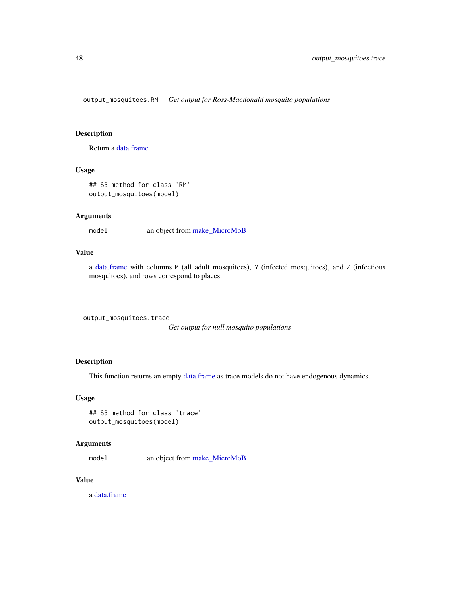output\_mosquitoes.RM *Get output for Ross-Macdonald mosquito populations*

## Description

Return a [data.frame.](#page-0-0)

## Usage

## S3 method for class 'RM' output\_mosquitoes(model)

## Arguments

model an object from [make\\_MicroMoB](#page-42-0)

### Value

a [data.frame](#page-0-0) with columns M (all adult mosquitoes), Y (infected mosquitoes), and Z (infectious mosquitoes), and rows correspond to places.

output\_mosquitoes.trace

*Get output for null mosquito populations*

## Description

This function returns an empty [data.frame](#page-0-0) as trace models do not have endogenous dynamics.

### Usage

```
## S3 method for class 'trace'
output_mosquitoes(model)
```
## Arguments

model an object from [make\\_MicroMoB](#page-42-0)

### Value

a [data.frame](#page-0-0)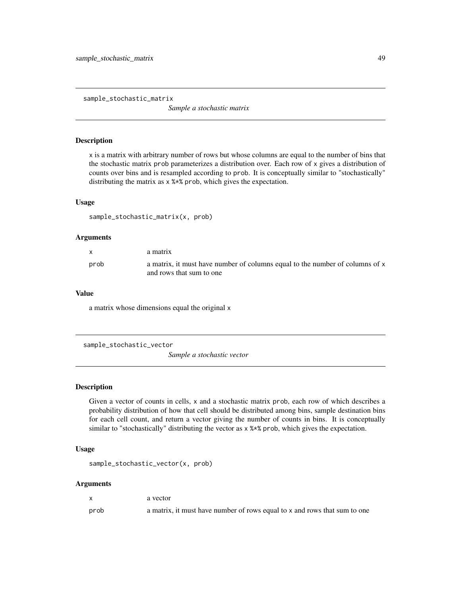sample\_stochastic\_matrix

*Sample a stochastic matrix*

### Description

x is a matrix with arbitrary number of rows but whose columns are equal to the number of bins that the stochastic matrix prob parameterizes a distribution over. Each row of x gives a distribution of counts over bins and is resampled according to prob. It is conceptually similar to "stochastically" distributing the matrix as x %\*% prob, which gives the expectation.

#### Usage

sample\_stochastic\_matrix(x, prob)

### Arguments

| X    | a matrix                                                                                                 |
|------|----------------------------------------------------------------------------------------------------------|
| prob | a matrix, it must have number of columns equal to the number of columns of x<br>and rows that sum to one |

### Value

a matrix whose dimensions equal the original x

```
sample_stochastic_vector
```
*Sample a stochastic vector*

### Description

Given a vector of counts in cells, x and a stochastic matrix prob, each row of which describes a probability distribution of how that cell should be distributed among bins, sample destination bins for each cell count, and return a vector giving the number of counts in bins. It is conceptually similar to "stochastically" distributing the vector as x %\*% prob, which gives the expectation.

### Usage

sample\_stochastic\_vector(x, prob)

#### Arguments

|      | a vector                                                                  |
|------|---------------------------------------------------------------------------|
| prob | a matrix, it must have number of rows equal to x and rows that sum to one |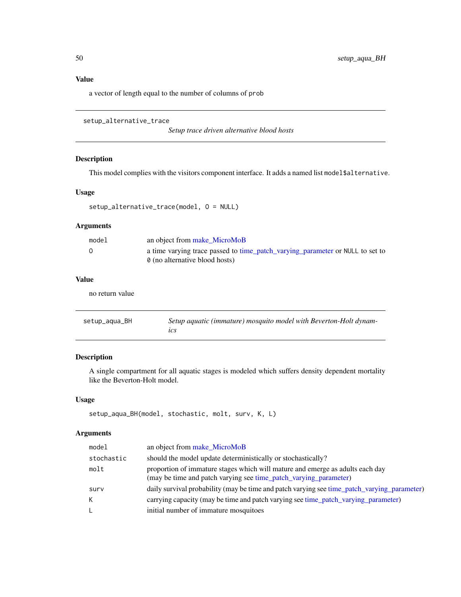# Value

a vector of length equal to the number of columns of prob

```
setup_alternative_trace
```
*Setup trace driven alternative blood hosts*

### Description

This model complies with the visitors component interface. It adds a named list model\$alternative.

#### Usage

```
setup_alternative_trace(model, O = NULL)
```
### Arguments

| model | an object from make MicroMoB                                                                                    |
|-------|-----------------------------------------------------------------------------------------------------------------|
|       | a time varying trace passed to time_patch_varying_parameter or NULL to set to<br>0 (no alternative blood hosts) |

# Value

no return value

| setup_aqua_BH | Setup aquatic (immature) mosquito model with Beverton-Holt dynam- |
|---------------|-------------------------------------------------------------------|
|               | ıcs                                                               |

# Description

A single compartment for all aquatic stages is modeled which suffers density dependent mortality like the Beverton-Holt model.

#### Usage

```
setup_aqua_BH(model, stochastic, molt, surv, K, L)
```
### Arguments

| model      | an object from make_MicroMoB                                                                                                                      |
|------------|---------------------------------------------------------------------------------------------------------------------------------------------------|
| stochastic | should the model update deterministically or stochastically?                                                                                      |
| molt       | proportion of immature stages which will mature and emerge as adults each day<br>(may be time and patch varying see time_patch_varying_parameter) |
| surv       | daily survival probability (may be time and patch varying see time_patch_varying_parameter)                                                       |
| K.         | carrying capacity (may be time and patch varying see time_patch_varying_parameter)                                                                |
| L.         | initial number of immature mosquitoes                                                                                                             |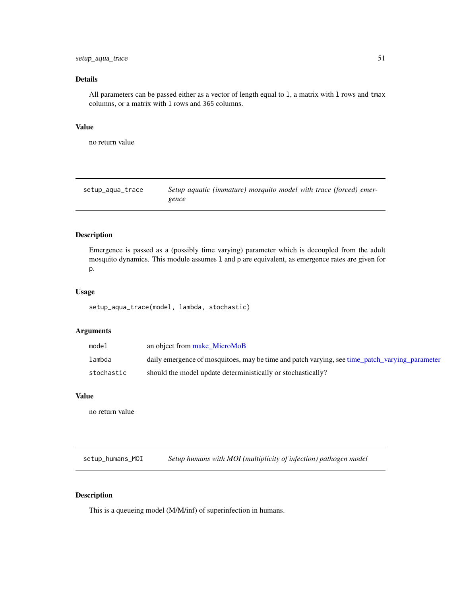## setup\_aqua\_trace 51

# Details

All parameters can be passed either as a vector of length equal to 1, a matrix with 1 rows and tmax columns, or a matrix with l rows and 365 columns.

#### Value

no return value

| setup_aqua_trace | Setup aquatic (immature) mosquito model with trace (forced) emer- |
|------------------|-------------------------------------------------------------------|
|                  | gence                                                             |

## Description

Emergence is passed as a (possibly time varying) parameter which is decoupled from the adult mosquito dynamics. This module assumes l and p are equivalent, as emergence rates are given for p.

#### Usage

setup\_aqua\_trace(model, lambda, stochastic)

### Arguments

| model      | an object from make MicroMoB                                                                   |
|------------|------------------------------------------------------------------------------------------------|
| lambda     | daily emergence of mosquitoes, may be time and patch varying, see time_patch_varying_parameter |
| stochastic | should the model update deterministically or stochastically?                                   |

### Value

no return value

setup\_humans\_MOI *Setup humans with MOI (multiplicity of infection) pathogen model*

## Description

This is a queueing model (M/M/inf) of superinfection in humans.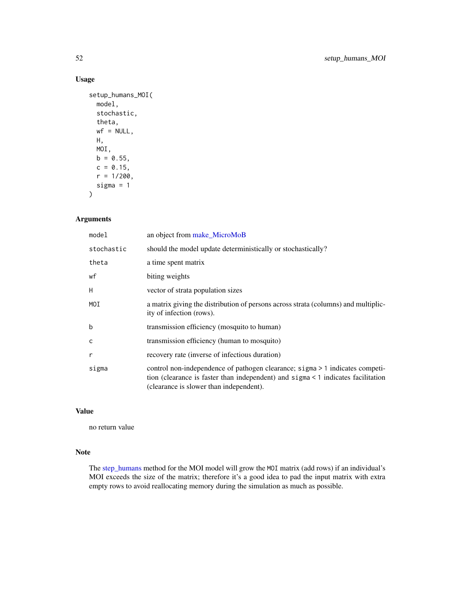# Usage

```
setup_humans_MOI(
 model,
  stochastic,
  theta,
  wf = NULL,H,
 MOI,
 b = 0.55,
 c = 0.15,
  r = 1/200,
  sigma = 1
)
```
## Arguments

| model        | an object from make_MicroMoB                                                                                                                                                                                |  |
|--------------|-------------------------------------------------------------------------------------------------------------------------------------------------------------------------------------------------------------|--|
| stochastic   | should the model update deterministically or stochastically?                                                                                                                                                |  |
| theta        | a time spent matrix                                                                                                                                                                                         |  |
| wf           | biting weights                                                                                                                                                                                              |  |
| H            | vector of strata population sizes                                                                                                                                                                           |  |
| MOI          | a matrix giving the distribution of persons across strata (columns) and multiplic-<br>ity of infection (rows).                                                                                              |  |
| b            | transmission efficiency (mosquito to human)                                                                                                                                                                 |  |
| $\mathsf{C}$ | transmission efficiency (human to mosquito)                                                                                                                                                                 |  |
| r            | recovery rate (inverse of infectious duration)                                                                                                                                                              |  |
| sigma        | control non-independence of pathogen clearance; sigma > 1 indicates competi-<br>tion (clearance is faster than independent) and sigma < 1 indicates facilitation<br>(clearance is slower than independent). |  |

## Value

no return value

# Note

The [step\\_humans](#page-60-0) method for the MOI model will grow the MOI matrix (add rows) if an individual's MOI exceeds the size of the matrix; therefore it's a good idea to pad the input matrix with extra empty rows to avoid reallocating memory during the simulation as much as possible.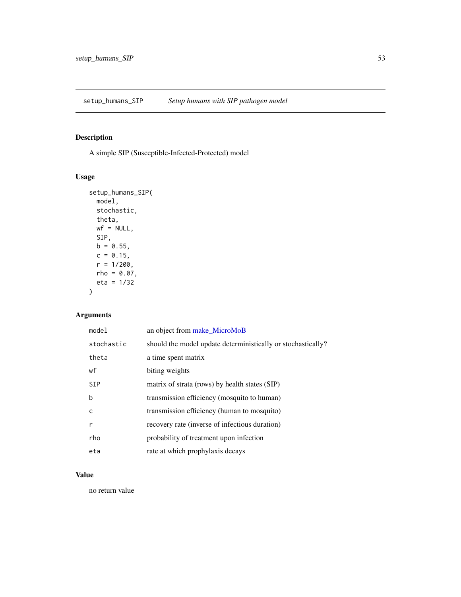# Description

A simple SIP (Susceptible-Infected-Protected) model

## Usage

```
setup_humans_SIP(
 model,
 stochastic,
  theta,
 wf = NULL,SIP,
 b = 0.55,
 c = 0.15,
  r = 1/200,
 rho = 0.07,
 eta = 1/32
)
```
# Arguments

| model      | an object from make_MicroMoB                                 |
|------------|--------------------------------------------------------------|
| stochastic | should the model update deterministically or stochastically? |
| theta      | a time spent matrix                                          |
| wf         | biting weights                                               |
| <b>SIP</b> | matrix of strata (rows) by health states (SIP)               |
| b          | transmission efficiency (mosquito to human)                  |
| C          | transmission efficiency (human to mosquito)                  |
| r          | recovery rate (inverse of infectious duration)               |
| rho        | probability of treatment upon infection                      |
| eta        | rate at which prophylaxis decays                             |

# Value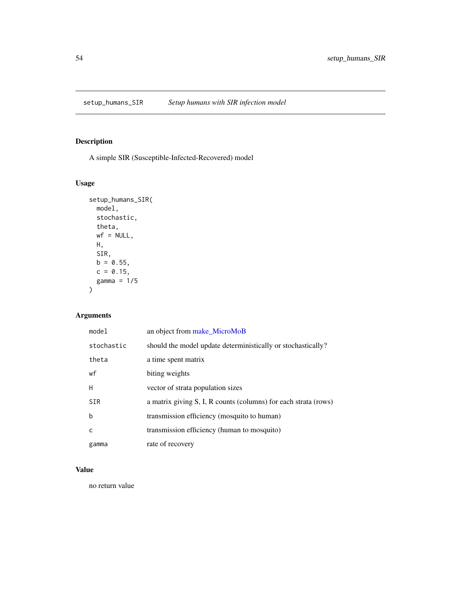<span id="page-53-0"></span>

# Description

A simple SIR (Susceptible-Infected-Recovered) model

## Usage

```
setup_humans_SIR(
 model,
 stochastic,
  theta,
 wf = NULL,H,
 SIR,
 b = 0.55,
 c = 0.15,
 gamma = 1/5
)
```
# Arguments

| model       | an object from make_MicroMoB                                    |
|-------------|-----------------------------------------------------------------|
| stochastic  | should the model update deterministically or stochastically?    |
| theta       | a time spent matrix                                             |
| wf          | biting weights                                                  |
| H           | vector of strata population sizes                               |
| <b>SIR</b>  | a matrix giving S, I, R counts (columns) for each strata (rows) |
| $\mathbf b$ | transmission efficiency (mosquito to human)                     |
| C           | transmission efficiency (human to mosquito)                     |
| gamma       | rate of recovery                                                |

## Value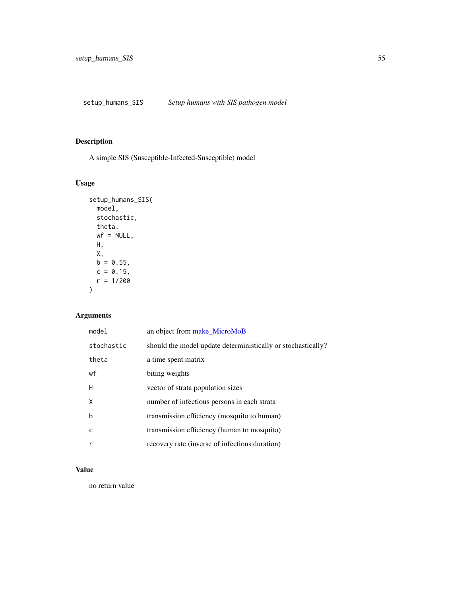<span id="page-54-0"></span>setup\_humans\_SIS *Setup humans with SIS pathogen model*

# Description

A simple SIS (Susceptible-Infected-Susceptible) model

## Usage

```
setup_humans_SIS(
 model,
 stochastic,
 theta,
 wf = NULL,H,
 X,
 b = 0.55,
 c = 0.15,
 r = 1/200)
```
# Arguments

| model      | an object from make_MicroMoB                                 |
|------------|--------------------------------------------------------------|
| stochastic | should the model update deterministically or stochastically? |
| theta      | a time spent matrix                                          |
| wf         | biting weights                                               |
| H          | vector of strata population sizes                            |
| X          | number of infectious persons in each strata                  |
| b          | transmission efficiency (mosquito to human)                  |
| C          | transmission efficiency (human to mosquito)                  |
| r          | recovery rate (inverse of infectious duration)               |

## Value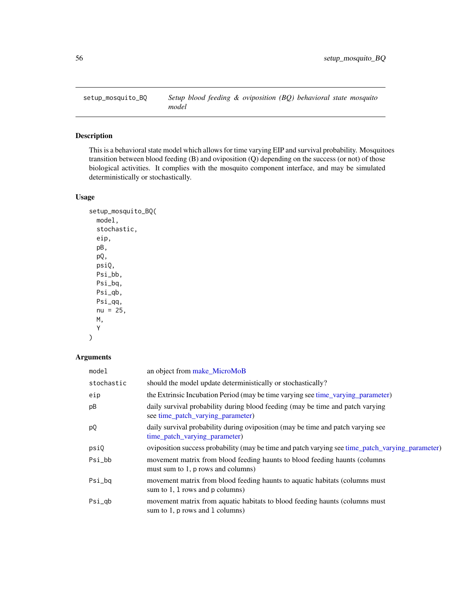## Description

This is a behavioral state model which allows for time varying EIP and survival probability. Mosquitoes transition between blood feeding (B) and oviposition (Q) depending on the success (or not) of those biological activities. It complies with the mosquito component interface, and may be simulated deterministically or stochastically.

## Usage

```
setup_mosquito_BQ(
  model,
  stochastic,
  eip,
  pB,
  pQ,
  psiQ,
  Psi_bb,
  Psi_bq,
  Psi_qb,
  Psi_qq,
  nu = 25,
  M,
  Y
\mathcal{E}
```
### Arguments

| model      | an object from make_MicroMoB                                                                                        |
|------------|---------------------------------------------------------------------------------------------------------------------|
| stochastic | should the model update deterministically or stochastically?                                                        |
| eip        | the Extrinsic Incubation Period (may be time varying see time varying parameter)                                    |
| pB         | daily survival probability during blood feeding (may be time and patch varying<br>see time_patch_varying_parameter) |
| pQ         | daily survival probability during oviposition (may be time and patch varying see<br>time_patch_varying_parameter)   |
| psiQ       | oviposition success probability (may be time and patch varying see time_patch_varying_parameter)                    |
| Psi_bb     | movement matrix from blood feeding haunts to blood feeding haunts (columns<br>must sum to 1, p rows and columns)    |
| Psi_bq     | movement matrix from blood feeding haunts to aquatic habitats (columns must)<br>sum to 1, 1 rows and p columns)     |
| Psi_qb     | movement matrix from aquatic habitats to blood feeding haunts (columns must<br>sum to 1, p rows and 1 columns)      |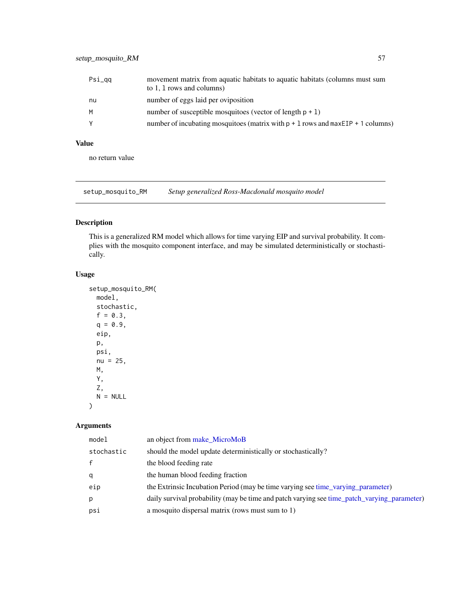| Psi_gg | movement matrix from aquatic habitats to aquatic habitats (columns must sum<br>to 1, 1 rows and columns) |
|--------|----------------------------------------------------------------------------------------------------------|
| nu     | number of eggs laid per oviposition                                                                      |
| M      | number of susceptible mosquitoes (vector of length $p + 1$ )                                             |
| Y      | number of incubating mosquitoes (matrix with $p + 1$ rows and maxEIP + 1 columns)                        |

## Value

no return value

<span id="page-56-0"></span>setup\_mosquito\_RM *Setup generalized Ross-Macdonald mosquito model*

## Description

This is a generalized RM model which allows for time varying EIP and survival probability. It complies with the mosquito component interface, and may be simulated deterministically or stochastically.

## Usage

```
setup_mosquito_RM(
 model,
 stochastic,
  f = 0.3,
 q = 0.9,
 eip,
 p,
 psi,
 nu = 25,
 M,
 Y,
 Z,
 N = NULL
```
)

### Arguments

| model        | an object from make MicroMoB                                                                |
|--------------|---------------------------------------------------------------------------------------------|
| stochastic   | should the model update deterministically or stochastically?                                |
| $\mathsf{f}$ | the blood feeding rate                                                                      |
| q            | the human blood feeding fraction                                                            |
| eip          | the Extrinsic Incubation Period (may be time varying see time_varying_parameter)            |
| р            | daily survival probability (may be time and patch varying see time_patch_varying_parameter) |
| psi          | a mosquito dispersal matrix (rows must sum to 1)                                            |
|              |                                                                                             |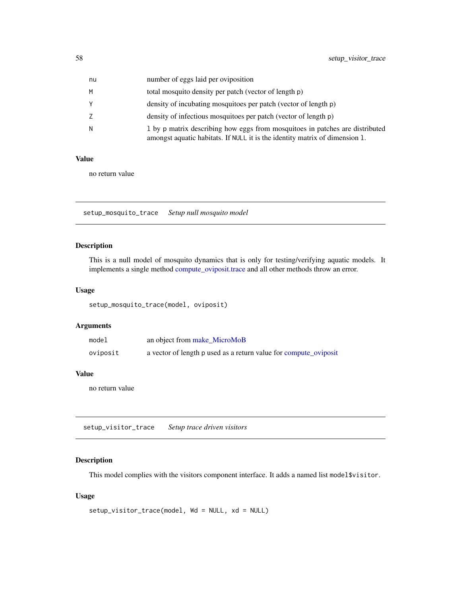| nu | number of eggs laid per oviposition                                                                                                                         |
|----|-------------------------------------------------------------------------------------------------------------------------------------------------------------|
| М  | total mosquito density per patch (vector of length p)                                                                                                       |
| Υ  | density of incubating mosquitoes per patch (vector of length p)                                                                                             |
| Z  | density of infectious mosquitoes per patch (vector of length p)                                                                                             |
| N  | 1 by p matrix describing how eggs from mosquitoes in patches are distributed<br>amongst aquatic habitats. If NULL it is the identity matrix of dimension 1. |

### Value

no return value

<span id="page-57-0"></span>setup\_mosquito\_trace *Setup null mosquito model*

# Description

This is a null model of mosquito dynamics that is only for testing/verifying aquatic models. It implements a single method [compute\\_oviposit.trace](#page-17-0) and all other methods throw an error.

### Usage

setup\_mosquito\_trace(model, oviposit)

#### Arguments

| model    | an object from make_MicroMoB                                     |
|----------|------------------------------------------------------------------|
| oviposit | a vector of length p used as a return value for compute oviposit |

## Value

no return value

<span id="page-57-1"></span>setup\_visitor\_trace *Setup trace driven visitors*

## Description

This model complies with the visitors component interface. It adds a named list model\$visitor.

## Usage

```
setup_visitor_trace(model, Wd = NULL, xd = NULL)
```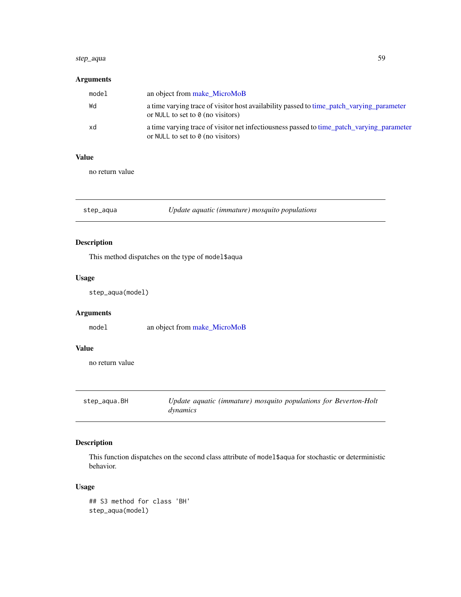#### step\_aqua 59

# Arguments

| model | an object from make MicroMoB                                                                                                          |
|-------|---------------------------------------------------------------------------------------------------------------------------------------|
| Wd    | a time varying trace of visitor host availability passed to time_patch_varying_parameter<br>or NULL to set to $\theta$ (no visitors)  |
| xd    | a time varying trace of visitor net infectiousness passed to time_patch_varying_parameter<br>or NULL to set to $\theta$ (no visitors) |

### Value

no return value

step\_aqua *Update aquatic (immature) mosquito populations*

## Description

This method dispatches on the type of model\$aqua

# Usage

step\_aqua(model)

# Arguments

model an object from [make\\_MicroMoB](#page-42-0)

## Value

no return value

| step_aqua.BH | Update aquatic (immature) mosquito populations for Beverton-Holt |
|--------------|------------------------------------------------------------------|
|              | dynamics                                                         |

# Description

This function dispatches on the second class attribute of model\$aqua for stochastic or deterministic behavior.

#### Usage

```
## S3 method for class 'BH'
step_aqua(model)
```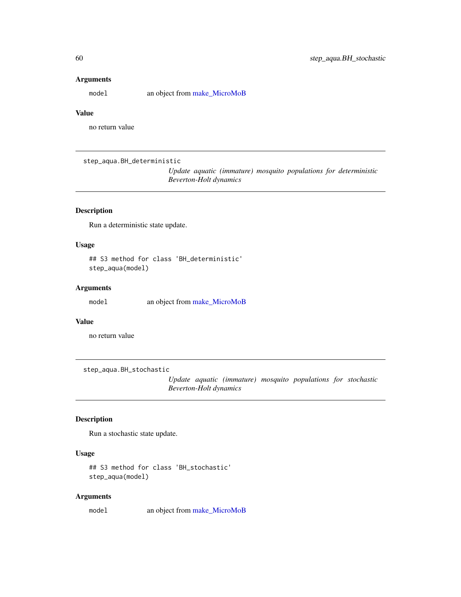## Arguments

model an object from [make\\_MicroMoB](#page-42-0)

## Value

no return value

step\_aqua.BH\_deterministic

*Update aquatic (immature) mosquito populations for deterministic Beverton-Holt dynamics*

## Description

Run a deterministic state update.

## Usage

## S3 method for class 'BH\_deterministic' step\_aqua(model)

## Arguments

model an object from [make\\_MicroMoB](#page-42-0)

### Value

no return value

step\_aqua.BH\_stochastic

*Update aquatic (immature) mosquito populations for stochastic Beverton-Holt dynamics*

# Description

Run a stochastic state update.

### Usage

```
## S3 method for class 'BH_stochastic'
step_aqua(model)
```
#### Arguments

model an object from [make\\_MicroMoB](#page-42-0)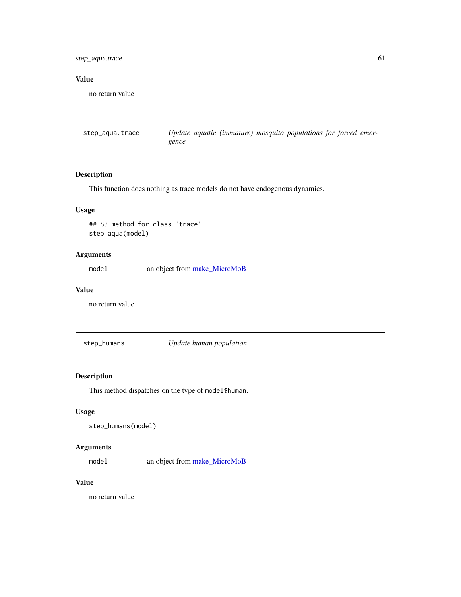## step\_aqua.trace 61

## Value

no return value

step\_aqua.trace *Update aquatic (immature) mosquito populations for forced emergence*

### Description

This function does nothing as trace models do not have endogenous dynamics.

## Usage

## S3 method for class 'trace' step\_aqua(model)

### Arguments

model an object from [make\\_MicroMoB](#page-42-0)

### Value

no return value

<span id="page-60-0"></span>step\_humans *Update human population*

## Description

This method dispatches on the type of model\$human.

### Usage

step\_humans(model)

## Arguments

model an object from [make\\_MicroMoB](#page-42-0)

## Value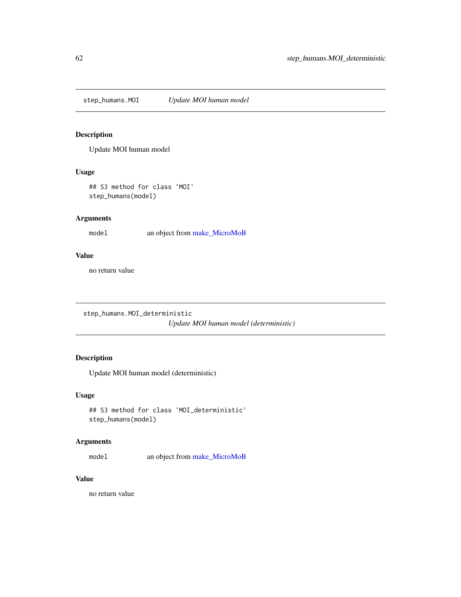step\_humans.MOI *Update MOI human model*

### Description

Update MOI human model

## Usage

## S3 method for class 'MOI' step\_humans(model)

## Arguments

model an object from [make\\_MicroMoB](#page-42-0)

### Value

no return value

```
step_humans.MOI_deterministic
                        Update MOI human model (deterministic)
```
## Description

Update MOI human model (deterministic)

#### Usage

```
## S3 method for class 'MOI_deterministic'
step_humans(model)
```
### Arguments

model an object from [make\\_MicroMoB](#page-42-0)

## Value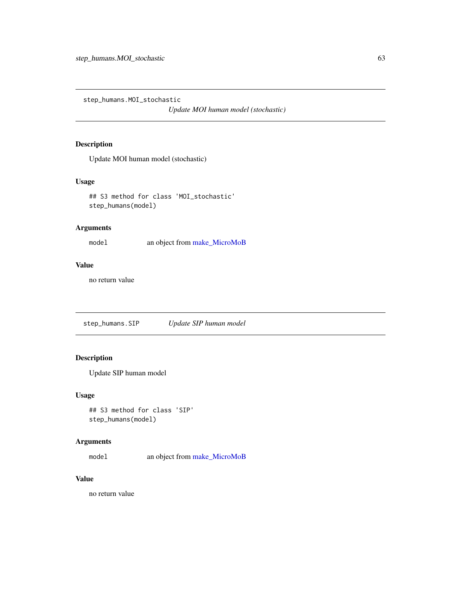step\_humans.MOI\_stochastic

*Update MOI human model (stochastic)*

## Description

Update MOI human model (stochastic)

## Usage

## S3 method for class 'MOI\_stochastic' step\_humans(model)

## Arguments

model an object from [make\\_MicroMoB](#page-42-0)

### Value

no return value

step\_humans.SIP *Update SIP human model*

# Description

Update SIP human model

## Usage

```
## S3 method for class 'SIP'
step_humans(model)
```
## Arguments

model an object from [make\\_MicroMoB](#page-42-0)

## Value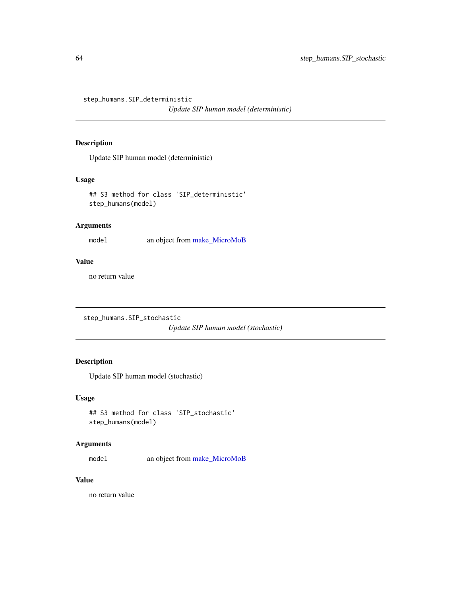step\_humans.SIP\_deterministic

*Update SIP human model (deterministic)*

## Description

Update SIP human model (deterministic)

### Usage

## S3 method for class 'SIP\_deterministic' step\_humans(model)

## Arguments

model an object from [make\\_MicroMoB](#page-42-0)

## Value

no return value

```
step_humans.SIP_stochastic
```
*Update SIP human model (stochastic)*

# Description

Update SIP human model (stochastic)

### Usage

```
## S3 method for class 'SIP_stochastic'
step_humans(model)
```
## Arguments

model an object from [make\\_MicroMoB](#page-42-0)

### Value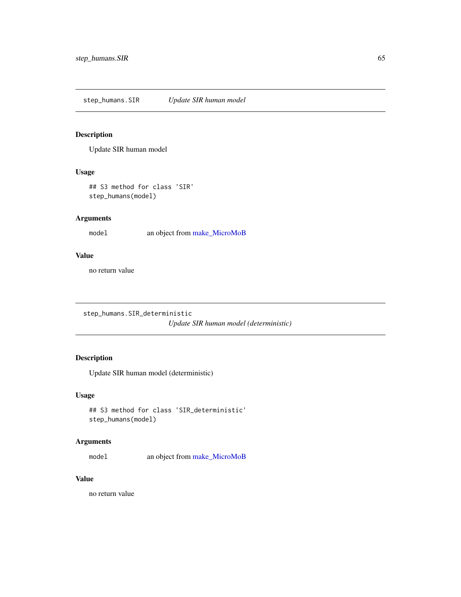### Description

Update SIR human model

## Usage

## S3 method for class 'SIR' step\_humans(model)

## Arguments

model an object from [make\\_MicroMoB](#page-42-0)

### Value

no return value

step\_humans.SIR\_deterministic *Update SIR human model (deterministic)*

## Description

Update SIR human model (deterministic)

#### Usage

```
## S3 method for class 'SIR_deterministic'
step_humans(model)
```
## Arguments

model an object from [make\\_MicroMoB](#page-42-0)

# Value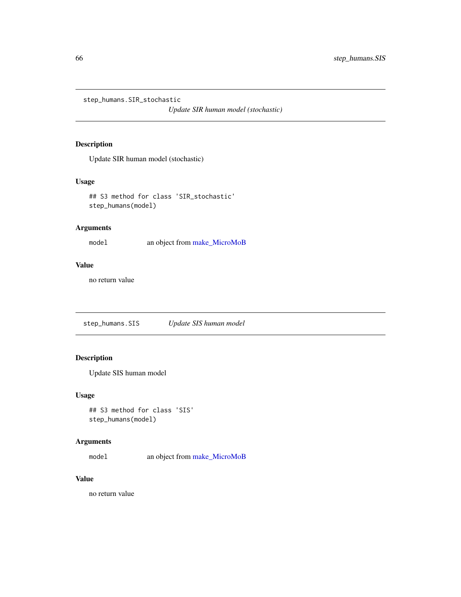step\_humans.SIR\_stochastic

*Update SIR human model (stochastic)*

## Description

Update SIR human model (stochastic)

## Usage

## S3 method for class 'SIR\_stochastic' step\_humans(model)

## Arguments

model an object from [make\\_MicroMoB](#page-42-0)

### Value

no return value

step\_humans.SIS *Update SIS human model*

# Description

Update SIS human model

### Usage

```
## S3 method for class 'SIS'
step_humans(model)
```
## Arguments

model an object from [make\\_MicroMoB](#page-42-0)

## Value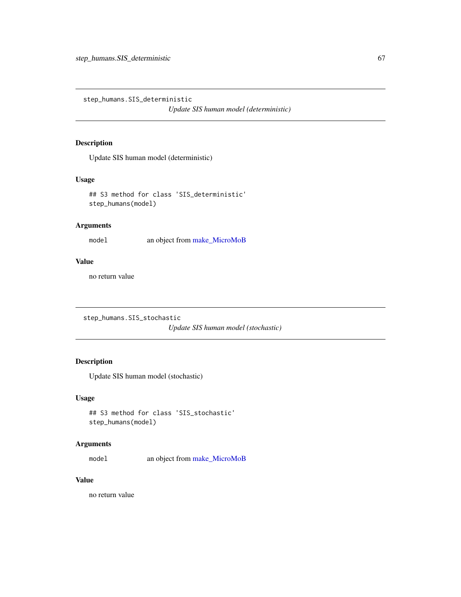step\_humans.SIS\_deterministic

*Update SIS human model (deterministic)*

## Description

Update SIS human model (deterministic)

### Usage

## S3 method for class 'SIS\_deterministic' step\_humans(model)

## Arguments

model an object from [make\\_MicroMoB](#page-42-0)

## Value

no return value

```
step_humans.SIS_stochastic
```
*Update SIS human model (stochastic)*

# Description

Update SIS human model (stochastic)

### Usage

```
## S3 method for class 'SIS_stochastic'
step_humans(model)
```
## Arguments

model an object from [make\\_MicroMoB](#page-42-0)

### Value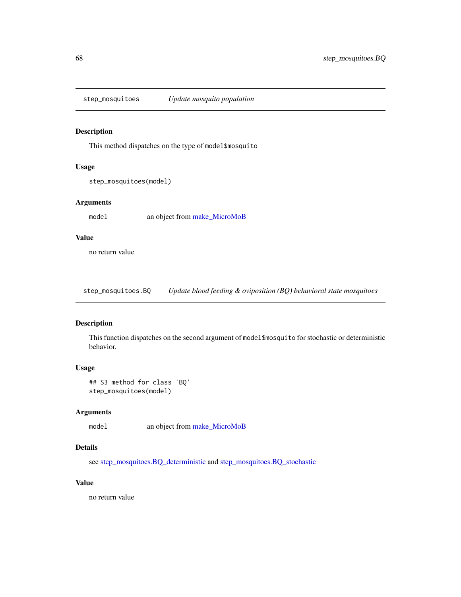step\_mosquitoes *Update mosquito population*

### Description

This method dispatches on the type of model\$mosquito

### Usage

```
step_mosquitoes(model)
```
#### Arguments

model an object from [make\\_MicroMoB](#page-42-0)

## Value

no return value

step\_mosquitoes.BQ *Update blood feeding & oviposition (BQ) behavioral state mosquitoes*

# Description

This function dispatches on the second argument of model\$mosquito for stochastic or deterministic behavior.

### Usage

```
## S3 method for class 'BQ'
step_mosquitoes(model)
```
### Arguments

model an object from [make\\_MicroMoB](#page-42-0)

## Details

see [step\\_mosquitoes.BQ\\_deterministic](#page-68-0) and [step\\_mosquitoes.BQ\\_stochastic](#page-68-1)

# Value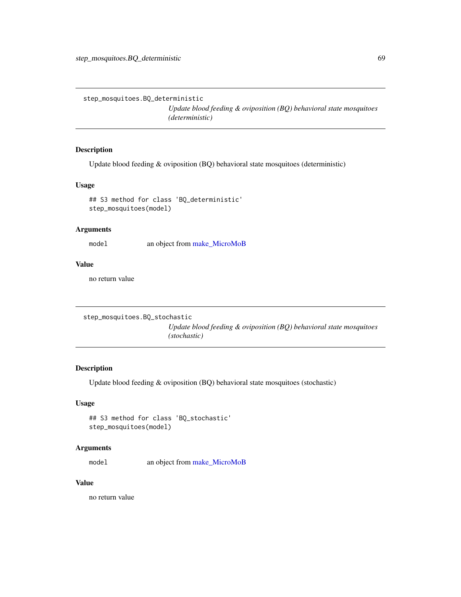<span id="page-68-0"></span>step\_mosquitoes.BQ\_deterministic

*Update blood feeding & oviposition (BQ) behavioral state mosquitoes (deterministic)*

## Description

Update blood feeding & oviposition (BQ) behavioral state mosquitoes (deterministic)

### Usage

```
## S3 method for class 'BQ_deterministic'
step_mosquitoes(model)
```
## Arguments

model an object from [make\\_MicroMoB](#page-42-0)

### Value

no return value

```
step_mosquitoes.BQ_stochastic
```
*Update blood feeding & oviposition (BQ) behavioral state mosquitoes (stochastic)*

## Description

Update blood feeding & oviposition (BQ) behavioral state mosquitoes (stochastic)

## Usage

```
## S3 method for class 'BQ_stochastic'
step_mosquitoes(model)
```
## Arguments

model an object from [make\\_MicroMoB](#page-42-0)

## Value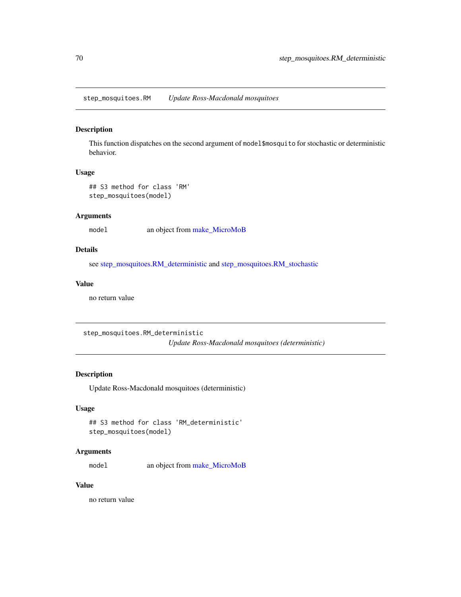step\_mosquitoes.RM *Update Ross-Macdonald mosquitoes*

### Description

This function dispatches on the second argument of model\$mosquito for stochastic or deterministic behavior.

#### Usage

```
## S3 method for class 'RM'
step_mosquitoes(model)
```
## Arguments

model an object from [make\\_MicroMoB](#page-42-0)

### Details

see [step\\_mosquitoes.RM\\_deterministic](#page-69-0) and [step\\_mosquitoes.RM\\_stochastic](#page-70-0)

### Value

no return value

<span id="page-69-0"></span>step\_mosquitoes.RM\_deterministic

*Update Ross-Macdonald mosquitoes (deterministic)*

### Description

Update Ross-Macdonald mosquitoes (deterministic)

### Usage

```
## S3 method for class 'RM_deterministic'
step_mosquitoes(model)
```
## Arguments

model an object from [make\\_MicroMoB](#page-42-0)

### Value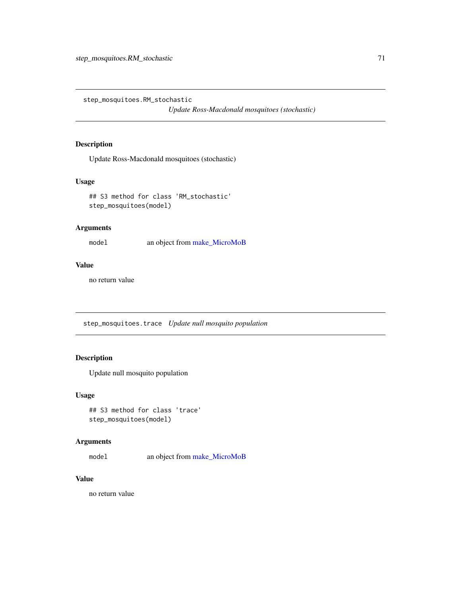<span id="page-70-0"></span>step\_mosquitoes.RM\_stochastic

*Update Ross-Macdonald mosquitoes (stochastic)*

## Description

Update Ross-Macdonald mosquitoes (stochastic)

#### Usage

```
## S3 method for class 'RM_stochastic'
step_mosquitoes(model)
```
## Arguments

model an object from [make\\_MicroMoB](#page-42-0)

## Value

no return value

step\_mosquitoes.trace *Update null mosquito population*

# Description

Update null mosquito population

#### Usage

```
## S3 method for class 'trace'
step_mosquitoes(model)
```
### Arguments

model an object from [make\\_MicroMoB](#page-42-0)

## Value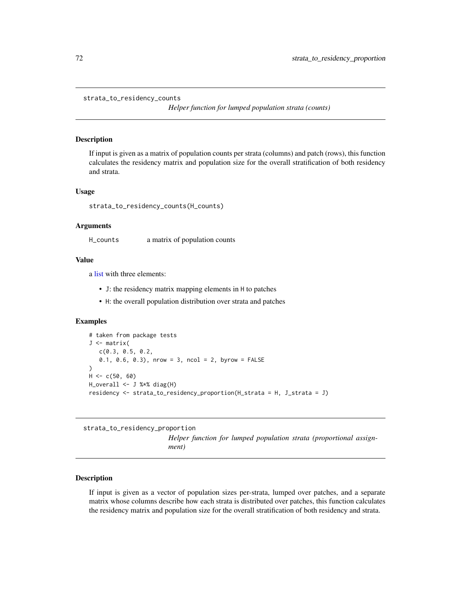```
strata_to_residency_counts
```
*Helper function for lumped population strata (counts)*

#### Description

If input is given as a matrix of population counts per strata (columns) and patch (rows), this function calculates the residency matrix and population size for the overall stratification of both residency and strata.

#### Usage

```
strata_to_residency_counts(H_counts)
```
#### Arguments

H\_counts a matrix of population counts

### Value

a [list](#page-0-0) with three elements:

- J: the residency matrix mapping elements in H to patches
- H: the overall population distribution over strata and patches

### Examples

```
# taken from package tests
J <- matrix(
   c(0.3, 0.5, 0.2,
   0.1, 0.6, 0.3, nrow = 3, ncol = 2, byrow = FALSE
\mathcal{L}H < -c(50, 60)H_overall <- J %*% diag(H)
residency <- strata_to_residency_proportion(H_strata = H, J_strata = J)
```
strata\_to\_residency\_proportion

*Helper function for lumped population strata (proportional assignment)*

## Description

If input is given as a vector of population sizes per-strata, lumped over patches, and a separate matrix whose columns describe how each strata is distributed over patches, this function calculates the residency matrix and population size for the overall stratification of both residency and strata.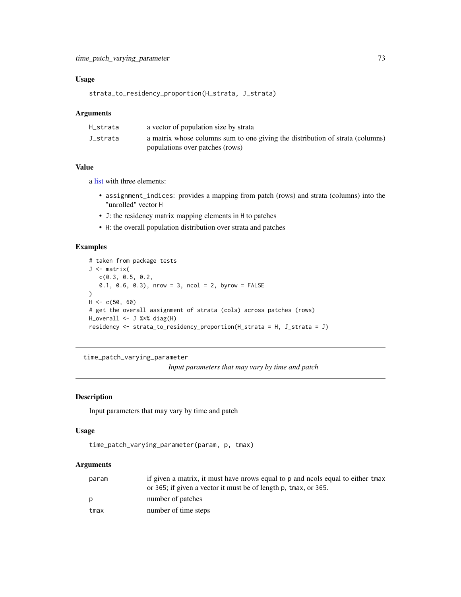## <span id="page-72-0"></span>Usage

strata\_to\_residency\_proportion(H\_strata, J\_strata)

#### Arguments

| H strata | a vector of population size by strata                                         |
|----------|-------------------------------------------------------------------------------|
| J_strata | a matrix whose columns sum to one giving the distribution of strata (columns) |
|          | populations over patches (rows)                                               |

### Value

a [list](#page-0-0) with three elements:

- assignment\_indices: provides a mapping from patch (rows) and strata (columns) into the "unrolled" vector H
- J: the residency matrix mapping elements in H to patches
- H: the overall population distribution over strata and patches

## Examples

```
# taken from package tests
J <- matrix(
  c(0.3, 0.5, 0.2,
   0.1, 0.6, 0.3), nrow = 3, ncol = 2, byrow = FALSE
\lambdaH < -c(50, 60)# get the overall assignment of strata (cols) across patches (rows)
H_overall <- J %*% diag(H)
residency <- strata_to_residency_proportion(H_strata = H, J_strata = J)
```
time\_patch\_varying\_parameter

*Input parameters that may vary by time and patch*

## Description

Input parameters that may vary by time and patch

#### Usage

```
time_patch_varying_parameter(param, p, tmax)
```
## Arguments

| param | if given a matrix, it must have prows equal to p and nools equal to either tmax |
|-------|---------------------------------------------------------------------------------|
|       | or 365; if given a vector it must be of length p, tmax, or 365.                 |
|       | number of patches                                                               |
| tmax  | number of time steps                                                            |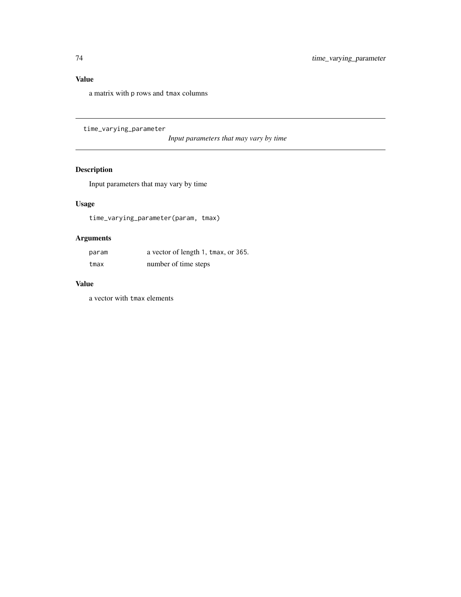# <span id="page-73-0"></span>Value

a matrix with p rows and tmax columns

time\_varying\_parameter

*Input parameters that may vary by time*

# Description

Input parameters that may vary by time

## Usage

time\_varying\_parameter(param, tmax)

# Arguments

| param | a vector of length 1, tmax, or 365. |
|-------|-------------------------------------|
| tmax  | number of time steps                |

## Value

a vector with tmax elements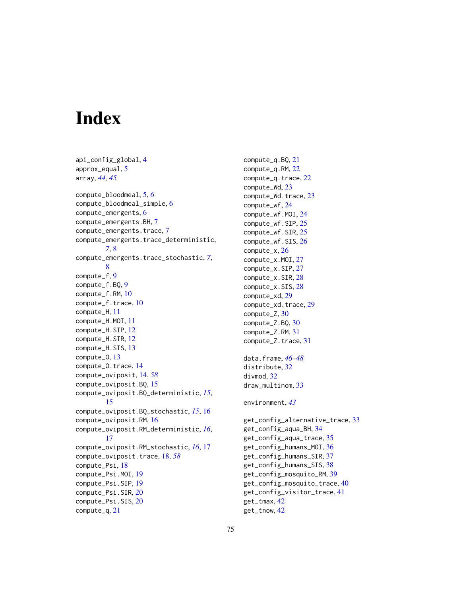# **Index**

```
api_config_global, 4
approx_equal, 5
array, 44, 45
compute_bloodmeal, 5, 6
compute_bloodmeal_simple, 6
compute_emergents, 6
compute_emergents.BH, 7
compute_emergents.trace, 7
compute_emergents.trace_deterministic,
        7, 8
compute_emergents.trace_stochastic, 7,
        8
compute_f, 9
compute_f.BQ, 9
compute_f.RM, 10
compute_f.trace, 10
compute_H, 11
compute_H.MOI, 11
compute_H.SIP, 12
compute_H.SIR, 12
compute_H.SIS, 13
compute_O, 13
compute_O.trace, 14
compute_oviposit, 14, 58
compute_oviposit.BQ, 15
compute_oviposit.BQ_deterministic, 15,
        15
compute_oviposit.BQ_stochastic, 15, 16
compute_oviposit.RM, 16
compute_oviposit.RM_deterministic, 16,
        17
compute_oviposit.RM_stochastic, 16, 17
18,58
compute_Psi, 18
compute_Psi.MOI, 19
compute_Psi.SIP, 19
compute_Psi.SIR, 20
compute_Psi.SIS, 20
compute_q, 21
```
compute\_q.BQ, [21](#page-20-0) compute\_q.RM, [22](#page-21-0) compute\_q.trace, [22](#page-21-0) compute\_Wd, [23](#page-22-0) compute\_Wd.trace, [23](#page-22-0) compute\_wf, [24](#page-23-0) compute\_wf.MOI, [24](#page-23-0) compute\_wf.SIP, [25](#page-24-0) compute\_wf.SIR, [25](#page-24-0) compute\_wf.SIS, [26](#page-25-0) compute\_x, [26](#page-25-0) compute\_x.MOI, [27](#page-26-0) compute\_x.SIP, [27](#page-26-0) compute\_x.SIR, [28](#page-27-0) compute\_x.SIS, [28](#page-27-0) compute\_xd, [29](#page-28-0) compute\_xd.trace, [29](#page-28-0) compute\_Z, [30](#page-29-0) compute\_Z.BQ, [30](#page-29-0) compute\_Z.RM, [31](#page-30-0) compute\_Z.trace, [31](#page-30-0) data.frame, *[46](#page-45-0)[–48](#page-47-0)* distribute, [32](#page-31-0) divmod, [32](#page-31-0) draw\_multinom, [33](#page-32-0) environment, *[43](#page-42-0)* get\_config\_alternative\_trace, [33](#page-32-0) get\_config\_aqua\_BH, [34](#page-33-0) get\_config\_aqua\_trace, [35](#page-34-0) get\_config\_humans\_MOI, [36](#page-35-0) get\_config\_humans\_SIR, [37](#page-36-0) get\_config\_humans\_SIS, [38](#page-37-0) get\_config\_mosquito\_RM, [39](#page-38-0) get\_config\_mosquito\_trace, [40](#page-39-0) get\_config\_visitor\_trace, [41](#page-40-0) get\_tmax, [42](#page-41-0) get\_tnow, [42](#page-41-0)